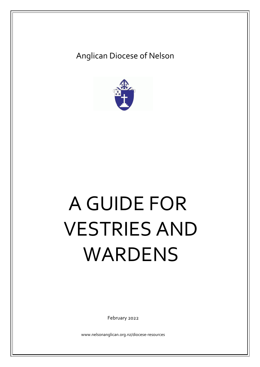# Anglican Diocese of Nelson



# A GUIDE FOR VESTRIES AND WARDENS

February 2022

www.nelsonanglican.org.nz/diocese-resources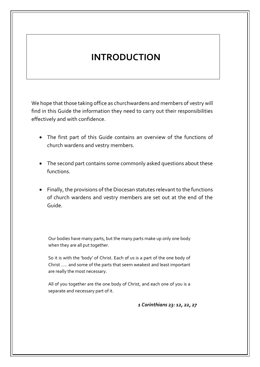# **INTRODUCTION**

We hope that those taking office as churchwardens and members of vestry will find in this Guide the information they need to carry out their responsibilities effectively and with confidence.

- The first part of this Guide contains an overview of the functions of church wardens and vestry members.
- The second part contains some commonly asked questions about these functions.
- Finally, the provisions of the Diocesan statutes relevant to the functions of church wardens and vestry members are set out at the end of the Guide.

Our bodies have many parts, but the many parts make up only one body when they are all put together.

So it is with the 'body' of Christ. Each of us is a part of the one body of Christ ….. and some of the parts that seem weakest and least important are really the most necessary.

All of you together are the one body of Christ, and each one of you is a separate and necessary part of it.

*1 Corinthians 23: 12, 22, 27*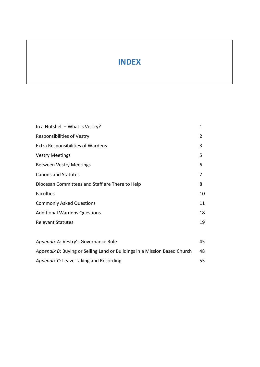# **INDEX**

| In a Nutshell – What is Vestry?                                           | 1  |
|---------------------------------------------------------------------------|----|
| <b>Responsibilities of Vestry</b>                                         | 2  |
| <b>Extra Responsibilities of Wardens</b>                                  | 3  |
| <b>Vestry Meetings</b>                                                    | 5  |
| <b>Between Vestry Meetings</b>                                            | 6  |
| <b>Canons and Statutes</b>                                                | 7  |
| Diocesan Committees and Staff are There to Help                           | 8  |
| <b>Faculties</b>                                                          | 10 |
| <b>Commonly Asked Questions</b>                                           | 11 |
| <b>Additional Wardens Questions</b>                                       | 18 |
| <b>Relevant Statutes</b>                                                  | 19 |
|                                                                           |    |
| Appendix A: Vestry's Governance Role                                      | 45 |
| Appendix B: Buying or Selling Land or Buildings in a Mission Based Church | 48 |
| Appendix C: Leave Taking and Recording                                    | 55 |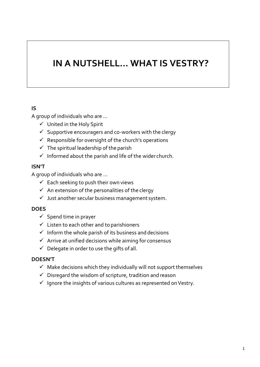# **IN A NUTSHELL… WHAT IS VESTRY?**

# **IS**

A group of individuals who are …

- ✓ United in the Holy Spirit
- $\checkmark$  Supportive encouragers and co-workers with the clergy
- $\checkmark$  Responsible for oversight of the church's operations
- $\checkmark$  The spiritual leadership of the parish
- $\checkmark$  Informed about the parish and life of the wider church.

# **ISN'T**

A group of individuals who are …

- $\checkmark$  Each seeking to push their own views
- $\checkmark$  An extension of the personalities of the clergy
- $\checkmark$  Just another secular business management system.

# **DOES**

- $\checkmark$  Spend time in prayer
- $\checkmark$  Listen to each other and to parishioners
- $\checkmark$  Inform the whole parish of its business and decisions
- $\checkmark$  Arrive at unified decisions while aiming for consensus
- $\checkmark$  Delegate in order to use the gifts of all.

# **DOESN'T**

- $\checkmark$  Make decisions which they individually will not support themselves
- $\checkmark$  Disregard the wisdom of scripture, tradition and reason
- $\checkmark$  Ignore the insights of various cultures as represented on Vestry.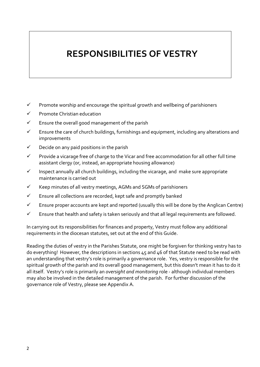# **RESPONSIBILITIES OF VESTRY**

- $\checkmark$  Promote worship and encourage the spiritual growth and wellbeing of parishioners
- ✓ Promote Christian education
- $\checkmark$  Ensure the overall good management of the parish
- $\checkmark$  Ensure the care of church buildings, furnishings and equipment, including any alterations and improvements
- $\checkmark$  Decide on any paid positions in the parish
- ✓ Provide a vicarage free of charge to the Vicar and free accommodation for all other full time assistant clergy (or, instead, an appropriate housing allowance)
- ✓ Inspect annually all church buildings, including the vicarage, and make sure appropriate maintenance is carried out
- ✓ Keep minutes of all vestry meetings, AGMs and SGMs of parishioners
- ✓ Ensure all collections are recorded, kept safe and promptly banked
- ✓ Ensure proper accounts are kept and reported (usually this will be done by the Anglican Centre)
- $\checkmark$  Ensure that health and safety is taken seriously and that all legal requirements are followed.

In carrying out its responsibilities for finances and property, Vestry must follow any additional requirements in the diocesan statutes, set out at the end of this Guide.

Reading the duties of vestry in the Parishes Statute, one might be forgiven for thinking vestry has to do everything! However, the descriptions in sections 45 and 46 of that Statute need to be read with an understanding that vestry's role is primarily a governance role. Yes, vestry is responsible for the spiritual growth of the parish and its overall good management, but this doesn't mean it has to do it all itself. Vestry's role is primarily an *oversight and monitoring* role - although individual members may also be involved in the detailed management of the parish. For further discussion of the governance role of Vestry, please see Appendix A.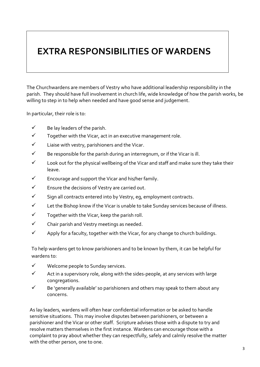# **EXTRA RESPONSIBILITIES OF WARDENS**

The Churchwardens are members of Vestry who have additional leadership responsibility in the parish. They should have full involvement in church life, wide knowledge of how the parish works, be willing to step in to help when needed and have good sense and judgement.

In particular, their role is to:

- $\checkmark$  Be lay leaders of the parish.
- $\checkmark$  Together with the Vicar, act in an executive management role.
- $\checkmark$  Liaise with vestry, parishioners and the Vicar.
- $\checkmark$  Be responsible for the parish during an interregnum, or if the Vicar is ill.
- $\checkmark$  Look out for the physical wellbeing of the Vicar and staff and make sure they take their leave.
- $\checkmark$  Encourage and support the Vicar and his/her family.
- $\checkmark$  Ensure the decisions of Vestry are carried out.
- ✓ Sign all contracts entered into by Vestry, eg, employment contracts.
- $\checkmark$  Let the Bishop know if the Vicar is unable to take Sunday services because of illness.
- $\checkmark$  Together with the Vicar, keep the parish roll.
- ✓ Chair parish and Vestry meetings as needed.
- $\checkmark$  Apply for a faculty, together with the Vicar, for any change to church buildings.

To help wardens get to know parishioners and to be known by them, it can be helpful for wardens to:

- ✓ Welcome people to Sunday services.
- $\checkmark$  Act in a supervisory role, along with the sides-people, at any services with large congregations.
- $\checkmark$  Be 'generally available' so parishioners and others may speak to them about any concerns.

As lay leaders, wardens will often hear confidential information or be asked to handle sensitive situations. This may involve disputes between parishioners, or between a parishioner and the Vicar or other staff. Scripture advises those with a dispute to try and resolve matters themselves in the first instance. Wardens can encourage those with a complaint to pray about whether they can respectfully, safely and calmly resolve the matter with the other person, one to one.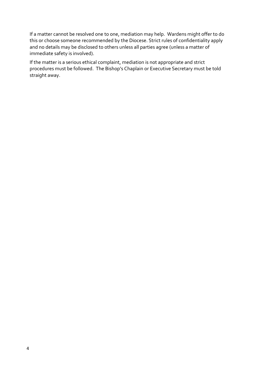If a matter cannot be resolved one to one, mediation may help. Wardens might offer to do this or choose someone recommended by the Diocese. Strict rules of confidentiality apply and no details may be disclosed to others unless all parties agree (unless a matter of immediate safety is involved).

If the matter is a serious ethical complaint, mediation is not appropriate and strict procedures must be followed. The Bishop's Chaplain or Executive Secretary must be told straight away.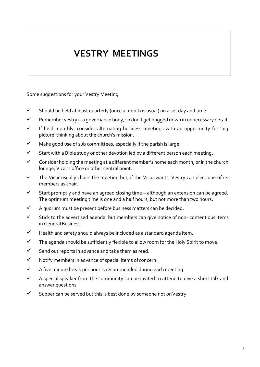# **VESTRY MEETINGS**

Some suggestions for your Vestry Meeting:

- $\checkmark$  Should be held at least quarterly (once a month is usual) on a set day and time.
- $\checkmark$  Remember vestry is a governance body, so don't get bogged down in unnecessary detail.
- $\checkmark$  If held monthly, consider alternating business meetings with an opportunity for 'big picture' thinking about the church's mission.
- $\checkmark$  Make good use of sub committees, especially if the parish is large.
- $\checkmark$  Start with a Bible study or other devotion led by a different person each meeting.
- ✓ Consider holding the meeting at a different member's home each month, or in the church lounge, Vicar's office or other central point.
- $\checkmark$  The Vicar usually chairs the meeting but, if the Vicar wants, Vestry can elect one of its members as chair.
- $\checkmark$  Start promptly and have an agreed closing time although an extension can be agreed. The optimum meeting time is one and a half hours, but not more than two hours.
- $\checkmark$  A quorum must be present before business matters can be decided.
- $\checkmark$  Stick to the advertised agenda, but members can give notice of non-contentious items in GeneralBusiness.
- ✓ Health and safety should always be included as a standard agenda item.
- $\checkmark$  The agenda should be sufficiently flexible to allow room for the Holy Spirit to move.
- ✓ Send out reports in advance and take them as read.
- ✓ Notify members in advance of special items ofconcern.
- $\checkmark$  A five minute break per hour is recommended during each meeting.
- $\checkmark$  A special speaker from the community can be invited to attend to give a short talk and answer questions
- $\checkmark$  Supper can be served but this is best done by someone not on Vestry.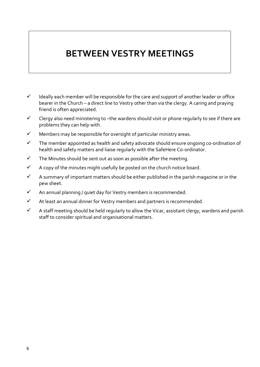# **BETWEEN VESTRY MEETINGS**

- $\checkmark$  Ideally each member will be responsible for the care and support of another leader or office bearer in the Church – a direct line to Vestry other than via the clergy. A caring and praying friend is often appreciated.
- $\checkmark$  Clergy also need ministering to -the wardens should visit or phone regularly to see if there are problems they can help with.
- $\checkmark$  Members may be responsible for oversight of particular ministry areas.
- $\checkmark$  The member appointed as health and safety advocate should ensure ongoing co-ordination of health and safety matters and liaise regularly with the SafeHere Co-ordinator.
- $\checkmark$  The Minutes should be sent out as soon as possible after the meeting.
- $\checkmark$  A copy of the minutes might usefully be posted on the church notice board.
- $\checkmark$  A summary of important matters should be either published in the parish magazine or in the pew sheet.
- $\checkmark$  An annual planning / quiet day for Vestry members is recommended.
- $\checkmark$  At least an annual dinner for Vestry members and partners is recommended.
- $\checkmark$  A staff meeting should be held regularly to allow the Vicar, assistant clergy, wardens and parish staff to consider spiritual and organisational matters.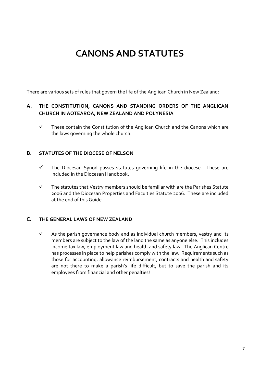# **CANONS AND STATUTES**

There are various sets of rules that govern the life of the Anglican Church in New Zealand:

# **A. THE CONSTITUTION, CANONS AND STANDING ORDERS OF THE ANGLICAN CHURCH IN AOTEAROA, NEW ZEALAND AND POLYNESIA**

 $\checkmark$  These contain the Constitution of the Anglican Church and the Canons which are the laws governing the whole church.

#### **B. STATUTES OF THE DIOCESE OF NELSON**

- ✓ The Diocesan Synod passes statutes governing life in the diocese. These are included in the Diocesan Handbook.
- $\checkmark$  The statutes that Vestry members should be familiar with are the Parishes Statute 2006 and the Diocesan Properties and Faculties Statute 2006. These are included at the end of this Guide.

# **C. THE GENERAL LAWS OF NEW ZEALAND**

 $\checkmark$  As the parish governance body and as individual church members, vestry and its members are subject to the law of the land the same as anyone else. This includes income tax law, employment law and health and safety law. The Anglican Centre has processes in place to help parishes comply with the law. Requirements such as those for accounting, allowance reimbursement, contracts and health and safety are not there to make a parish's life difficult, but to save the parish and its employees from financial and other penalties!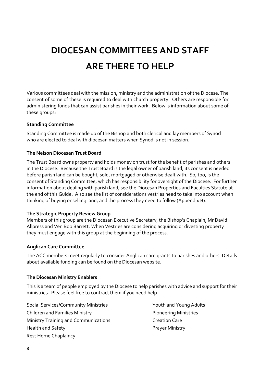# **DIOCESAN COMMITTEES AND STAFF ARE THERE TO HELP**

Various committees deal with the mission, ministry and the administration of the Diocese. The consent of some of these is required to deal with church property. Others are responsible for administering funds that can assist parishes in their work. Below is information about some of these groups:

#### **Standing Committee**

Standing Committee is made up of the Bishop and both clerical and lay members of Synod who are elected to deal with diocesan matters when Synod is not in session.

#### **The Nelson Diocesan Trust Board**

The Trust Board owns property and holds money on trust for the benefit of parishes and others in the Diocese. Because the Trust Board is the legal owner of parish land, its consent is needed before parish land can be bought, sold, mortgaged or otherwise dealt with. So, too, is the consent of Standing Committee, which has responsibility for oversight of the Diocese. For further information about dealing with parish land, see the Diocesan Properties and Faculties Statute at the end of this Guide. Also see the list of considerations vestries need to take into account when thinking of buying or selling land, and the process they need to follow (Appendix B).

# **The Strategic Property Review Group**

Members of this group are the Diocesan Executive Secretary, the Bishop's Chaplain, Mr David Allpress and Ven Bob Barrett. When Vestries are considering acquiring or divesting property they must engage with this group at the beginning of the process.

#### **Anglican Care Committee**

The ACC members meet regularly to consider Anglican care grants to parishes and others. Details about available funding can be found on the Diocesan website.

#### **The Diocesan Ministry Enablers**

This is a team of people employed by the Diocese to help parishes with advice and support for their ministries. Please feel free to contract them if you need help.

Social Services/Community Ministries The Manus Youth and Young Adults Children and Families Ministry **Pioneering Ministries** Ministry Training and Communications **Communication** Creation Care Health and Safety **Prayer Ministry** Rest Home Chaplaincy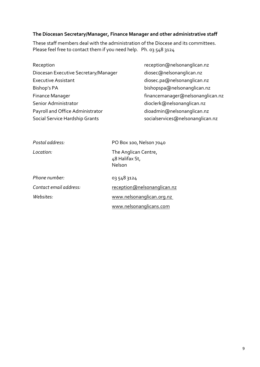#### **The Diocesan Secretary/Manager, Finance Manager and other administrative staff**

These staff members deal with the administration of the Diocese and its committees. Please feel free to contact them if you need help. Ph. 03 548 3124

- Reception **Reception Reception Reception Reception Reception Reception Reception Reception Reception Reception Reception Reception Reception Reception Reception Reception Reception Recepti** Diocesan Executive Secretary/Manager diosec@nelsonanglican.nz Executive Assistant diosec.pa@nelsonanglican.nz Bishop's PA bishopspa@nelsonanglican.nz Finance Manager **Finance Manager** Financemanager@nelsonanglican.nz Senior Administrator dioclerk@nelsonanglican.nz Payroll and Office Administrator dioadmin@nelsonanglican.nz Social Service Hardship Grants socialservices@nelsonanglican.nz
	-

| Postal address:        | PO Box 100, Nelson 7040                          |  |  |
|------------------------|--------------------------------------------------|--|--|
| Location:              | The Anglican Centre,<br>48 Halifax St,<br>Nelson |  |  |
| Phone number:          | 03 548 3124                                      |  |  |
| Contact email address: | reception@nelsonanglican.nz                      |  |  |
| Websites:              | www.nelsonanglican.org.nz                        |  |  |
|                        | www.nelsonanglicans.com                          |  |  |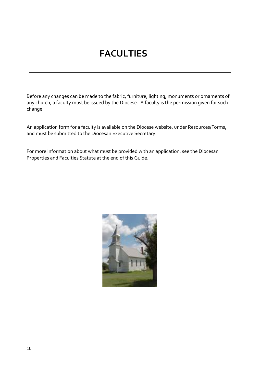# **FACULTIES**

Before any changes can be made to the fabric, furniture, lighting, monuments or ornaments of any church, a faculty must be issued by the Diocese. A faculty is the permission given for such change.

An application form for a faculty is available on the Diocese website, under Resources/Forms, and must be submitted to the Diocesan Executive Secretary.

For more information about what must be provided with an application, see the Diocesan Properties and Faculties Statute at the end of this Guide.

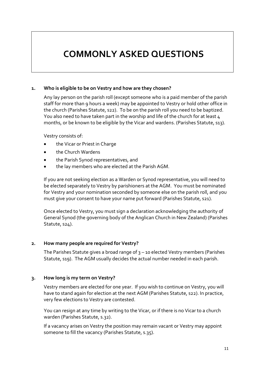# **COMMONLY ASKED QUESTIONS**

#### **1. Who is eligible to be on Vestry and how are they chosen?**

Any lay person on the parish roll (except someone who is a paid member of the parish staff for more than 9 hours a week) may be appointed to Vestry or hold other office in the church (Parishes Statute, s22). To be on the parish roll you need to be baptized. You also need to have taken part in the worship and life of the church for at least 4 months, or be known to be eligible by the Vicar and wardens. (Parishes Statute, s13).

Vestry consists of:

- the Vicar or Priest in Charge
- the Church Wardens
- the Parish Synod representatives, and
- the lay members who are elected at the Parish AGM.

If you are not seeking election as a Warden or Synod representative, you will need to be elected separately to Vestry by parishioners at the AGM. You must be nominated for Vestry and your nomination seconded by someone else on the parish roll, and you must give your consent to have your name put forward (Parishes Statute, s21).

Once elected to Vestry, you must sign a declaration acknowledging the authority of General Synod (the governing body of the Anglican Church in New Zealand) (Parishes Statute, s24).

#### **2. How many people are required for Vestry?**

The Parishes Statute gives a broad range of 3 – 10 elected Vestry members (Parishes Statute, s19). The AGM usually decides the actual number needed in each parish.

# **3. How long is my term on Vestry?**

Vestry members are elected for one year. If you wish to continue on Vestry, you will have to stand again for election at the next AGM (Parishes Statute, s22). In practice, very few elections to Vestry are contested.

You can resign at any time by writing to the Vicar, or if there is no Vicar to a church warden (Parishes Statute, s.32).

If a vacancy arises on Vestry the position may remain vacant or Vestry may appoint someone to fill the vacancy (Parishes Statute, s.35).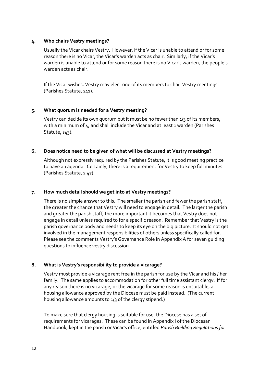#### **4. Who chairs Vestry meetings?**

Usually the Vicar chairs Vestry. However, if the Vicar is unable to attend or for some reason there is no Vicar, the Vicar's warden acts as chair. Similarly, if the Vicar's warden is unable to attend or for some reason there is no Vicar's warden, the people's warden acts as chair.

If the Vicar wishes, Vestry may elect one of its members to chair Vestry meetings (Parishes Statute, s41).

#### **5. What quorum is needed for a Vestry meeting?**

Vestry can decide its own quorum but it must be no fewer than 1/3 of its members, with a minimum of 4, and shall include the Vicar and at least 1 warden (Parishes Statute, s43).

#### **6. Does notice need to be given of what will be discussed at Vestry meetings?**

Although not expressly required by the Parishes Statute, it is good meeting practice to have an agenda. Certainly, there is a requirement for Vestry to keep full minutes (Parishes Statute, s.47).

# **7. How much detail should we get into at Vestry meetings?**

There is no simple answer to this. The smaller the parish and fewer the parish staff, the greater the chance that Vestry will need to engage in detail. The larger the parish and greater the parish staff, the more important it becomes that Vestry does not engage in detail unless required to for a specific reason. Remember that Vestry is the parish governance body and needs to keep its eye on the big picture. It should not get involved in the management responsibilities of others unless specifically called for. Please see the comments Vestry's Governance Role in Appendix A for seven guiding questions to influence vestry discussion.

# **8. What is Vestry's responsibility to provide a vicarage?**

Vestry must provide a vicarage rent free in the parish for use by the Vicar and his / her family. The same applies to accommodation for other full time assistant clergy. If for any reason there is no vicarage, or the vicarage for some reason is unsuitable, a housing allowance approved by the Diocese must be paid instead. (The current housing allowance amounts to 1/3 of the clergy stipend.)

To make sure that clergy housing is suitable for use, the Diocese has a set of requirements for vicarages. These can be found in Appendix I of the Diocesan Handbook, kept in the parish or Vicar's office, entitled *Parish Building Regulations for*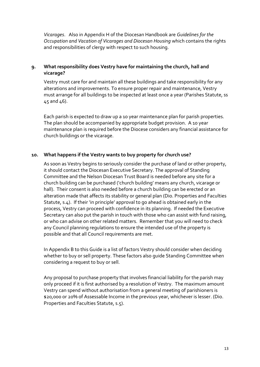*Vicarages*. Also in Appendix H of the Diocesan Handbook are *Guidelines for the Occupation and Vacation of Vicarages and Diocesan Housing* which contains the rights and responsibilities of clergy with respect to such housing.

#### **9. What responsibility does Vestry have for maintaining the church, hall and vicarage?**

Vestry must care for and maintain all these buildings and take responsibility for any alterations and improvements. To ensure proper repair and maintenance, Vestry must arrange for all buildings to be inspected at least once a year (Parishes Statute, ss 45 and 46).

Each parish is expected to draw up a 10 year maintenance plan for parish properties. The plan should be accompanied by appropriate budget provision. A 10 year maintenance plan is required before the Diocese considers any financial assistance for church buildings or the vicarage.

#### **10. What happens if the Vestry wants to buy property for church use?**

As soon as Vestry begins to seriously consider the purchase of land or other property, it should contact the Diocesan Executive Secretary. The approval of Standing Committee and the Nelson Diocesan Trust Board is needed before any site for a church building can be purchased ('church building' means any church, vicarage or hall). Their consent is also needed before a church building can be erected or an alteration made that affects its stability or general plan (Dio. Properties and Faculties Statute, s.4). If their 'in principle' approval to go ahead is obtained early in the process, Vestry can proceed with confidence in its planning. If needed the Executive Secretary can also put the parish in touch with those who can assist with fund raising, or who can advise on other related matters. Remember that you will need to check any Council planning regulations to ensure the intended use of the property is possible and that all Council requirements are met.

In Appendix B to this Guide is a list of factors Vestry should consider when deciding whether to buy or sell property. These factors also guide Standing Committee when considering a request to buy or sell.

Any proposal to purchase property that involves financial liability for the parish may only proceed if it is first authorised by a resolution of Vestry. The maximum amount Vestry can spend without authorisation from a general meeting of parishioners is \$20,000 or 20% of Assessable Income in the previous year, whichever is lesser. (Dio. Properties and Faculties Statute, s.5).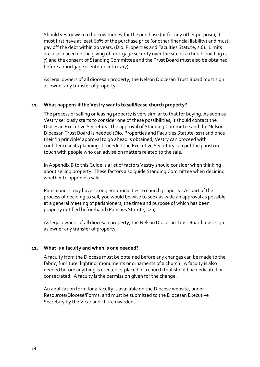Should vestry wish to borrow money for the purchase (or for any other purpose), it must first have at least 60% of the purchase price (or other financial liability) and must pay off the debt within 20 years. (Dio. Properties and Faculties Statute, s.6). Limits are also placed on the giving of mortgage security over the site of a church building (s. 7) and the consent of Standing Committee and the Trust Board must also be obtained before a mortgage is entered into (s.17).

As legal owners of all diocesan property, the Nelson Diocesan Trust Board must sign as owner any transfer of property.

#### **11. What happens if the Vestry wants to sell/lease church property?**

The process of selling or leasing property is very similar to that for buying. As soon as Vestry seriously starts to consider one of these possibilities, it should contact the Diocesan Executive Secretary. The approval of Standing Committee and the Nelson Diocesan Trust Board is needed (Dio. Properties and Faculties Statute, s17) and once their 'in principle' approval to go ahead is obtained, Vestry can proceed with confidence in its planning. If needed the Executive Secretary can put the parish in touch with people who can advise on matters related to the sale.

In Appendix B to this Guide is a list of factors Vestry should consider when thinking about selling property. These factors also guide Standing Committee when deciding whether to approve a sale.

Parishioners may have strong emotional ties to church property. As part of the process of deciding to sell, you would be wise to seek as wide an approval as possible at a general meeting of parishioners, the time and purpose of which has been properly notified beforehand (Parishes Statute, s20).

As legal owners of all diocesan property, the Nelson Diocesan Trust Board must sign as owner any transfer of property.

#### **12. What is a faculty and when is one needed?**

A faculty from the Diocese must be obtained before any changes can be made to the fabric, furniture, lighting, monuments or ornaments of a church. A faculty is also needed before anything is erected or placed in a church that should be dedicated or consecrated. A faculty is the permission given for the change.

An application form for a faculty is available on the Diocese website, under Resources/Diocese/Forms, and must be submitted to the Diocesan Executive Secretary by the Vicar and church wardens.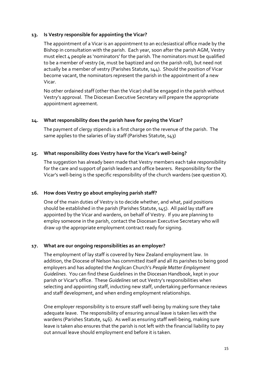#### **13. Is Vestry responsible for appointing the Vicar?**

The appointment of a Vicar is an appointment to an ecclesiastical office made by the Bishop in consultation with the parish. Each year, soon after the parish AGM, Vestry must elect 4 people as 'nominators' for the parish. The nominators must be qualified to be a member of vestry (ie, must be baptized and on the parish roll), but need not actually be a member of vestry (Parishes Statute, s44). Should the position of Vicar become vacant, the nominators represent the parish in the appointment of a new Vicar.

No other ordained staff (other than the Vicar) shall be engaged in the parish without Vestry's approval. The Diocesan Executive Secretary will prepare the appropriate appointment agreement.

#### **14. What responsibility does the parish have for paying the Vicar?**

The payment of clergy stipends is a first charge on the revenue of the parish. The same applies to the salaries of lay staff (Parishes Statute, s43)

#### **15. What responsibility does Vestry have for the Vicar's well-being?**

The suggestion has already been made that Vestry members each take responsibility for the care and support of parish leaders and office bearers. Responsibility for the Vicar's well-being is the specific responsibility of the church wardens (see question X).

#### **16. How does Vestry go about employing parish staff?**

One of the main duties of Vestry is to decide whether, and what, paid positions should be established in the parish (Parishes Statute, s45). All paid lay staff are appointed by the Vicar and wardens, on behalf of Vestry. If you are planning to employ someone in the parish, contact the Diocesan Executive Secretary who will draw up the appropriate employment contract ready for signing.

#### **17. What are our ongoing responsibilities as an employer?**

The employment of lay staff is covered by New Zealand employment law. In addition, the Diocese of Nelson has committed itself and all its parishes to being good employers and has adopted the Anglican Church's *People Matter Employment Guidelines*. You can find these Guidelines in the Diocesan Handbook, kept in your parish or Vicar's office. These *Guidelines* set out Vestry's responsibilities when selecting and appointing staff, inducting new staff, undertaking performance reviews and staff development, and when ending employment relationships.

One employer responsibility is to ensure staff well-being by making sure they take adequate leave. The responsibility of ensuring annual leave is taken lies with the wardens (Parishes Statute, s46). As well as ensuring staff well-being, making sure leave is taken also ensures that the parish is not left with the financial liability to pay out annual leave should employment end before it is taken.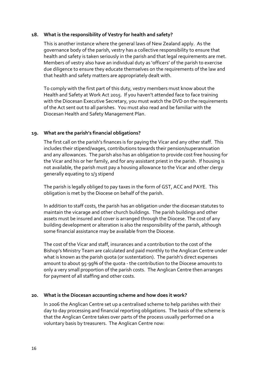#### **18. What is the responsibility of Vestry for health and safety?**

This is another instance where the general laws of New Zealand apply. As the governance body of the parish, vestry has a collective responsibility to ensure that health and safety is taken seriously in the parish and that legal requirements are met. Members of vestry also have an individual duty as 'officers' of the parish to exercise due diligence to ensure they educate themselves on the requirements of the law and that health and safety matters are appropriately dealt with.

To comply with the first part of this duty, vestry members must know about the Health and Safety at Work Act 2015. If you haven't attended face to face training with the Diocesan Executive Secretary, you must watch the DVD on the requirements of the Act sent out to all parishes. You must also read and be familiar with the Diocesan Health and Safety Management Plan.

#### **19. What are the parish's financial obligations?**

The first call on the parish's finances is for paying the Vicar and any other staff. This includes their stipend/wages, contributions towards their pension/superannuation and any allowances. The parish also has an obligation to provide cost free housing for the Vicar and his or her family, and for any assistant priest in the parish. If housing is not available, the parish must pay a housing allowance to the Vicar and other clergy generally equating to 1/3 stipend

The parish is legally obliged to pay taxes in the form of GST, ACC and PAYE. This obligation is met by the Diocese on behalf of the parish.

In addition to staff costs, the parish has an obligation under the diocesan statutes to maintain the vicarage and other church buildings. The parish buildings and other assets must be insured and cover is arranged through the Diocese. The cost of any building development or alteration is also the responsibility of the parish, although some financial assistance may be available from the Diocese.

The cost of the Vicar and staff, insurances and a contribution to the cost of the Bishop's Ministry Team are calculated and paid monthly to the Anglican Centre under what is known as the parish quota (or sustentation). The parish's direct expenses amount to about 95-99% of the quota - the contribution to the Diocese amounts to only a very small proportion of the parish costs. The Anglican Centre then arranges for payment of all staffing and other costs.

#### **20. What is the Diocesan accounting scheme and how does it work?**

In 2006 the Anglican Centre set up a centralised scheme to help parishes with their day to day processing and financial reporting obligations. The basis of the scheme is that the Anglican Centre takes over parts of the process usually performed on a voluntary basis by treasurers. The Anglican Centre now: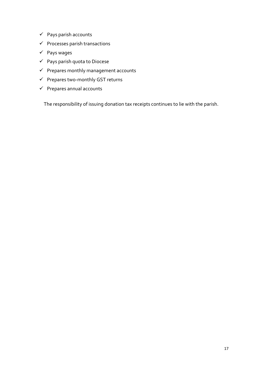- ✓ Pays parish accounts
- $\checkmark$  Processes parish transactions
- ✓ Pays wages
- ✓ Pays parish quota to Diocese
- $\checkmark$  Prepares monthly management accounts
- ✓ Prepares two-monthly GST returns
- ✓ Prepares annual accounts

The responsibility of issuing donation tax receipts continues to lie with the parish.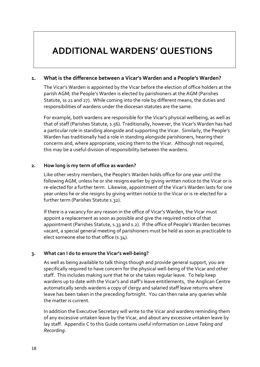# **ADDITIONAL WARDENS' QUESTIONS**

#### **1. What is the difference between a Vicar's Warden and a People's Warden?**

The Vicar's Warden is appointed by the Vicar before the election of office holders at the parish AGM; the People's Warden is elected by parishioners at the AGM (Parishes Statute, ss 21 and 27). While coming into the role by different means, the duties and responsibilities of wardens under the diocesan statutes are the same.

For example, both wardens are responsible for the Vicar's physical wellbeing, as well as that of staff (Parishes Statute, s.56). Traditionally, however, the Vicar's Warden has had a particular role in standing alongside and supporting the Vicar. Similarly, the People's Warden has traditionally had a role in standing alongside parishioners, hearing their concerns and, where appropriate, voicing them to the Vicar. Although not required, this may be a useful division of responsibility between the wardens.

#### **2. How long is my term of office as warden?**

Like other vestry members, the People's Warden holds office for one year until the following AGM, unless he or she resigns earlier by giving written notice to the Vicar or is re-elected for a further term. Likewise, appointment of the Vicar's Warden lasts for one year unless he or she resigns by giving written notice to the Vicar or is re-elected for a further term (Parishes Statute s.32).

If there is a vacancy for any reason in the office of Vicar's Warden, the Vicar must appoint a replacement as soon as possible and give the required notice of that appointment (Parishes Statute, s.33 and s.2). If the office of People's Warden becomes vacant, a special general meeting of parishioners must be held as soon as practicable to elect someone else to that office (s.34).

#### **3. What can I do to ensure the Vicar's well-being?**

As well as being available to talk things though and provide general support, you are specifically required to have concern for the physical well-being of the Vicar and other staff. This includes making sure that he or she takes regular leave. To help keep wardens up to date with the Vicar's and staff's leave entitlements, the Anglican Centre automatically sends wardens a copy of clergy and salaried staff leave returns where leave has been taken in the preceding fortnight. You can then raise any queries while the matter is current.

In addition the Executive Secretary will write to the Vicar and wardens reminding them of any excessive untaken leave by the Vicar, and about any excessive untaken leave by lay staff. Appendix C to this Guide contains useful information on *Leave Taking and Recording*.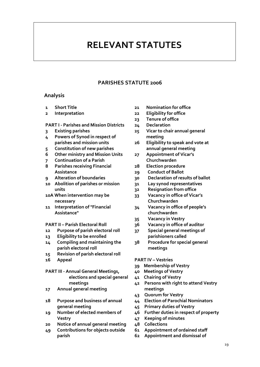# **RELEVANT STATUTES**

#### **PARISHES STATUTE 2006**

#### **Analysis**

- **Short Title**
- **Interpretation**

#### **PART I - Parishes and Mission Districts**

- **Existing parishes**
- **Powers of Synod in respect of parishes and mission units**
- **Constitution of new parishes**
- **Other ministry and Mission Units**
- **Continuation of a Parish**
- **Parishes receiving Financial Assistance**
- **Alteration of boundaries**
- **Abolition of parishes or mission units**
- **10A When intervention may be necessary**
- **Interpretation of "Financial Assistance"**

#### **PART II – Parish Electoral Roll**

- **Purpose of parish electoral roll**
- **Eligibility to be enrolled**
- **Compiling and maintaining the parish electoral roll**
- **Revision of parish electoral roll**
- **Appeal**

#### **PART III - Annual General Meetings, elections and special general meetings**

- **Annual general meeting**
- **Purpose and business of annual general meeting**
- **Number of elected members of Vestry**
- **Notice of annual general meeting**
- **Contributions for objects outside parish**
- **Nomination for office**
- **Eligibility for office**
- **Tenure of office**
- **Declaration**
- **Vicar to chair annual general meeting**
- **Eligibility to speak and vote at annual general meeting**
- **Appointment of Vicar's Churchwarden**
- **Election procedure**
- **Conduct of Ballot**
- **Declaration of results of ballot**
- **Lay synod representatives**
- **Resignation from office**
- **Vacancy in office of Vicar's Churchwarden**
- **Vacancy in office of people's churchwarden**
- **Vacancy in Vestry**
- **Vacancy in office of auditor**
- **Special general meetings of parishioners called**
- **Procedure for special general meetings**

#### **PART IV – Vestries**

- **Membership of Vestry**
- **Meetings of Vestry**
- **Chairing of Vestry**
- **Persons with right to attend Vestry meetings**
- **Quorum for Vestry**
- **Election of Parochial Nominators**
- **Primary duties of Vestry**
- **Further duties in respect of property**
- **Keeping of minutes**
- **Collections**
- **Appointment of ordained staff**
- **Appointment and dismissal of**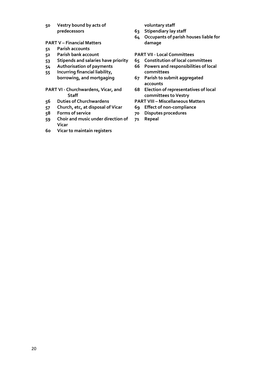**Vestry bound by acts of predecessors**

#### **PART V – Financial Matters**

- **Parish accounts**
- **Parish bank account**
- **Stipends and salaries have priority**
- **Authorisation of payments**
- **Incurring financial liability, borrowing, and mortgaging**

#### **PART VI - Churchwardens, Vicar, and Staff**

- **Duties of Churchwardens**
- **Church, etc, at disposal of Vicar**
- **Forms of service**
- **Choir and music under direction of Vicar**
- **Vicar to maintain registers**

#### **voluntary staff**

- **Stipendiary lay staff**
- **Occupants of parish houses liable for damage**

#### **PART VII - Local Committees**

- **Constitution of local committees**
- **Powers and responsibilities of local committees**
- **Parish to submit aggregated accounts**
- **Election of representatives of local committees to Vestry**
- **PART VIII – Miscellaneous Matters**
- **Effect of non-compliance**
- **Disputes procedures**
- **Repeal**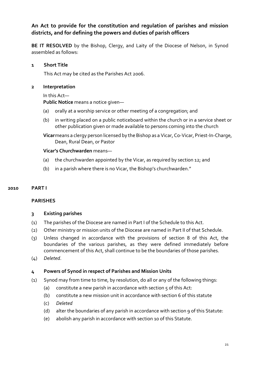# **An Act to provide for the constitution and regulation of parishes and mission districts, and for defining the powers and duties of parish officers**

**BE IT RESOLVED** by the Bishop, Clergy, and Laity of the Diocese of Nelson, in Synod assembled as follows:

#### **1 Short Title**

This Act may be cited as the Parishes Act 2006.

#### **2 Interpretation**

#### In this Act—

**Public Notice** means a notice given—

- (a) orally at a worship service or other meeting of a congregation; and
- (b) in writing placed on a public noticeboard within the church or in a service sheet or other publication given or made available to persons coming into the church

**Vicar**means a clergy person licensed by the Bishop as a Vicar, Co-Vicar, Priest-In-Charge, Dean, Rural Dean, or Pastor

# **Vicar's Churchwarden** means—

- (a) the churchwarden appointed by the Vicar, as required by section 12; and
- (b) in a parish where there is no Vicar, the Bishop's churchwarden."

# **2010 PART I**

# **PARISHES**

#### **3 Existing parishes**

- (1) The parishes of the Diocese are named in Part I of the Schedule to this Act.
- (2) Other ministry or mission units of the Diocese are named in Part II of that Schedule.
- (3) Unless changed in accordance with the provisions of section 8 of this Act, the boundaries of the various parishes, as they were defined immediately before commencement of this Act, shall continue to be the boundaries of those parishes.
- (4) *Deleted*.

# **4 Powers of Synod in respect of Parishes and Mission Units**

- (1) Synod may from time to time, by resolution, do all or any of the following things:
	- (a) constitute a new parish in accordance with section  $\zeta$  of this Act:
	- (b) constitute a new mission unit in accordance with section 6 of this statute
	- (c) *Deleted*
	- (d) alter the boundaries of any parish in accordance with section 9 of this Statute:
	- (e) abolish any parish in accordance with section 10 of this Statute.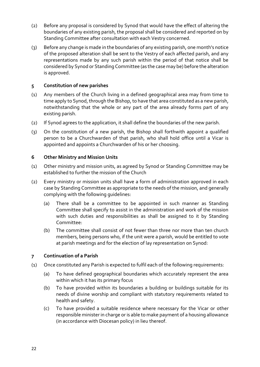- (2) Before any proposal is considered by Synod that would have the effect of altering the boundaries of any existing parish, the proposal shall be considered and reported on by Standing Committee after consultation with each Vestry concerned.
- (3) Before any change is made in the boundaries of any existing parish, one month's notice of the proposed alteration shall be sent to the Vestry of each affected parish, and any representations made by any such parish within the period of that notice shall be considered by Synod or Standing Committee (as the case may be) before the alteration is approved.

# **5 Constitution of new parishes**

- (1) Any members of the Church living in a defined geographical area may from time to time apply to Synod, through the Bishop, to have that area constituted as a new parish, notwithstanding that the whole or any part of the area already forms part of any existing parish.
- (2) If Synod agrees to the application, it shall define the boundaries of the new parish.
- (3) On the constitution of a new parish, the Bishop shall forthwith appoint a qualified person to be a Churchwarden of that parish, who shall hold office until a Vicar is appointed and appoints a Churchwarden of his or her choosing.

#### **6 Other Ministry and Mission Units**

- (1) Other ministry and mission units, as agreed by Synod or Standing Committee may be established to further the mission of the Church
- (2) Every ministry or mission units shall have a form of administration approved in each case by Standing Committee as appropriate to the needs of the mission, and generally complying with the following guidelines:
	- (a) There shall be a committee to be appointed in such manner as Standing Committee shall specify to assist in the administration and work of the mission with such duties and responsibilities as shall be assigned to it by Standing Committee:
	- (b) The committee shall consist of not fewer than three nor more than ten church members, being persons who, if the unit were a parish, would be entitled to vote at parish meetings and for the election of lay representation on Synod:

# **7 Continuation of a Parish**

- (1) Once constituted any Parish is expected to fulfil each of the following requirements:
	- (a) To have defined geographical boundaries which accurately represent the area within which it has its primary focus
	- (b) To have provided within its boundaries a building or buildings suitable for its needs of divine worship and compliant with statutory requirements related to health and safety.
	- (c) To have provided a suitable residence where necessary for the Vicar or other responsible minister in charge or is able to make payment of a housing allowance (in accordance with Diocesan policy) in lieu thereof.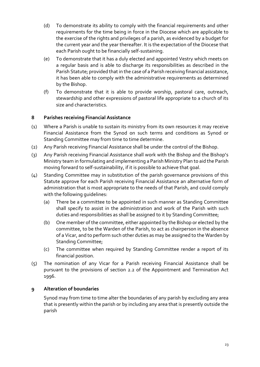- (d) To demonstrate its ability to comply with the financial requirements and other requirements for the time being in force in the Diocese which are applicable to the exercise of the rights and privileges of a parish, as evidenced by a budget for the current year and the year thereafter. It is the expectation of the Diocese that each Parish ought to be financially self-sustaining.
- (e) To demonstrate that it has a duly elected and appointed Vestry which meets on a regular basis and is able to discharge its responsibilities as described in the Parish Statute; provided that in the case of a Parish receiving financial assistance, it has been able to comply with the administrative requirements as determined by the Bishop.
- (f) To demonstrate that it is able to provide worship, pastoral care, outreach, stewardship and other expressions of pastoral life appropriate to a church of its size and characteristics.

# **8 Parishes receiving Financial Assistance**

- (1) Where a Parish is unable to sustain its ministry from its own resources it may receive Financial Assistance from the Synod on such terms and conditions as Synod or Standing Committee may from time to time determine.
- (2) Any Parish receiving Financial Assistance shall be under the control of the Bishop.
- (3) Any Parish receiving Financial Assistance shall work with the Bishop and the Bishop's Ministry team in formulating and implementing a Parish Ministry Plan to aid the Parish moving forward to self-sustainability, if it is possible to achieve that goal.
- (4) Standing Committee may in substitution of the parish governance provisions of this Statute approve for each Parish receiving Financial Assistance an alternative form of administration that is most appropriate to the needs of that Parish, and could comply with the following guidelines:
	- (a) There be a committee to be appointed in such manner as Standing Committee shall specify to assist in the administration and work of the Parish with such duties and responsibilities as shall be assigned to it by Standing Committee;
	- (b) One member of the committee, either appointed by the Bishop or elected by the committee, to be the Warden of the Parish, to act as chairperson in the absence of a Vicar, and to perform such other duties as may be assigned to the Warden by Standing Committee;
	- (c) The committee when required by Standing Committee render a report of its financial position.
- (5) The nomination of any Vicar for a Parish receiving Financial Assistance shall be pursuant to the provisions of section 2.2 of the Appointment and Termination Act 1996.

# **9 Alteration of boundaries**

Synod may from time to time alter the boundaries of any parish by excluding any area that is presently within the parish or by including any area that is presently outside the parish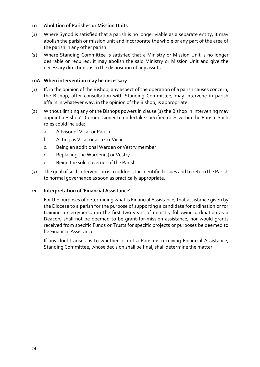#### **10 Abolition of Parishes or Mission Units**

- (1) Where Synod is satisfied that a parish is no longer viable as a separate entity, it may abolish the parish or mission unit and incorporate the whole or any part of the area of the parish in any other parish.
- (2) Where Standing Committee is satisfied that a Ministry or Mission Unit is no longer desirable or required, it may abolish the said Ministry or Mission Unit and give the necessary directions as to the disposition of any assets

#### **10A When intervention may be necessary**

- (1) If, in the opinion of the Bishop, any aspect of the operation of a parish causes concern, the Bishop, after consultation with Standing Committee, may intervene in parish affairs in whatever way, in the opinion of the Bishop, is appropriate.
- (2) Without limiting any of the Bishops powers in clause (1) the Bishop in intervening may appoint a Bishop's Commissioner to undertake specified roles within the Parish. Such roles could include:
	- a. Advisor of Vicar or Parish
	- b. Acting as Vicar or as a Co-Vicar
	- c. Being an additional Warden or Vestry member
	- d. Replacing the Warden(s) or Vestry
	- e. Being the sole governor of the Parish.
- (3) The goal of such intervention is to address the identified issues and to return the Parish to normal governance as soon as practically appropriate.

#### **11 Interpretation of 'Financial Assistance'**

For the purposes of determining what is Financial Assistance, that assistance given by the Diocese to a parish for the purpose of supporting a candidate for ordination or for training a clergyperson in the first two years of ministry following ordination as a Deacon, shall not be deemed to be grant-for-mission assistance, nor would grants received from specific Funds or Trusts for specific projects or purposes be deemed to be Financial Assistance.

If any doubt arises as to whether or not a Parish is receiving Financial Assistance, Standing Committee, whose decision shall be final, shall determine the matter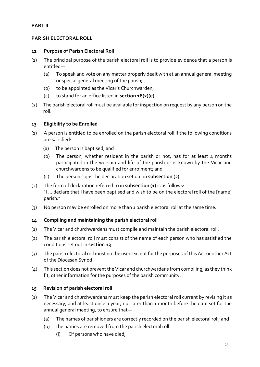#### **PART II**

#### **PARISH ELECTORAL ROLL**

#### **12 Purpose of Parish Electoral Roll**

- (1) The principal purpose of the parish electoral roll is to provide evidence that a person is entitled—
	- (a) To speak and vote on any matter properly dealt with at an annual general meeting or special general meeting of the parish;
	- (b) to be appointed as the Vicar's Churchwarden;
	- (c) to stand for an office listed in **section 18(2)(e)**.
- (2) The parish electoral roll must be available for inspection on request by any person on the roll.

#### **13 Eligibility to be Enrolled**

- (1) A person is entitled to be enrolled on the parish electoral roll if the following conditions are satisfied:
	- (a) The person is baptised; and
	- (b) The person, whether resident in the parish or not, has for at least  $4$  months participated in the worship and life of the parish or is known by the Vicar and churchwardens to be qualified for enrolment; and
	- (c) The person signs the declaration set out in **subsection (2)**.
- (2) The form of declaration referred to in **subsection (1)** is as follows: "I … declare that I have been baptised and wish to be on the electoral roll of the [name] parish."
- (3) No person may be enrolled on more than 1 parish electoral roll at the same time.

#### **14 Compiling and maintaining the parish electoral roll**

- (1) The Vicar and churchwardens must compile and maintain the parish electoral roll.
- (2) The parish electoral roll must consist of the name of each person who has satisfied the conditions set out in **section 13**.
- (3) The parish electoral roll must not be used except for the purposes of this Act or other Act of the Diocesan Synod.
- (4) This section does not prevent the Vicar and churchwardens from compiling, as they think fit, other information for the purposes of the parish community.

# **15 Revision of parish electoral roll**

- (1) The Vicar and churchwardens must keep the parish electoral roll current by revising it as necessary, and at least once a year, not later than 1 month before the date set for the annual general meeting, to ensure that—
	- (a) The names of parishioners are correctly recorded on the parish electoral roll; and
	- (b) the names are removed from the parish electoral roll—
		- (i) Of persons who have died;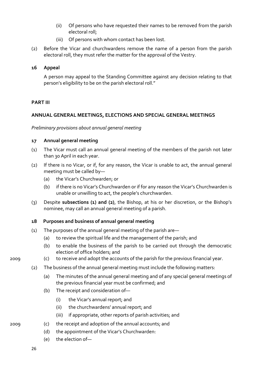- (ii) Of persons who have requested their names to be removed from the parish electoral roll;
- (iii) Of persons with whom contact has been lost.
- (2) Before the Vicar and churchwardens remove the name of a person from the parish electoral roll, they must refer the matter for the approval of the Vestry.

#### **16 Appeal**

A person may appeal to the Standing Committee against any decision relating to that person's eligibility to be on the parish electoral roll."

#### **PART III**

#### **ANNUAL GENERAL MEETINGS, ELECTIONS AND SPECIAL GENERAL MEETINGS**

*Preliminary provisions about annual general meeting*

#### **17 Annual general meeting**

- (1) The Vicar must call an annual general meeting of the members of the parish not later than 30 April in each year.
- (2) If there is no Vicar, or if, for any reason, the Vicar is unable to act, the annual general meeting must be called by—
	- (a) the Vicar's Churchwarden; or
	- (b) if there is no Vicar's Churchwarden or if for any reason the Vicar's Churchwarden is unable or unwilling to act, the people's churchwarden.
- (3) Despite **subsections (1) and (2)**, the Bishop, at his or her discretion, or the Bishop's nominee, may call an annual general meeting of a parish.

#### **18 Purposes and business of annual general meeting**

- (1) The purposes of the annual general meeting of the parish are—
	- (a) to review the spiritual life and the management of the parish; and
	- (b) to enable the business of the parish to be carried out through the democratic election of office holders; and
- 2009 (c) to receive and adopt the accounts of the parish for the previous financial year.
	- (2) The business of the annual general meeting must include the following matters:
		- (a) The minutes of the annual general meeting and of any special general meetings of the previous financial year must be confirmed; and
		- (b) The receipt and consideration of—
			- (i) the Vicar's annual report; and
			- (ii) the churchwardens' annual report; and
			- (iii) if appropriate, other reports of parish activities; and
- 2009 (c) the receipt and adoption of the annual accounts; and
	- (d) the appointment of the Vicar's Churchwarden:
	- (e) the election of—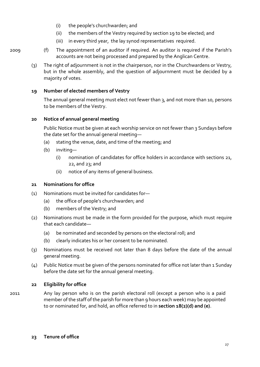- (i) the people's churchwarden; and
- (ii) the members of the Vestry required by section 19 to be elected; and
- (iii) in every third year, the lay synod representatives required.
- 2009 (f) The appointment of an auditor if required. An auditor is required if the Parish's accounts are not being processed and prepared by the Anglican Centre.
	- (3) The right of adjournment is not in the chairperson, nor in the Churchwardens or Vestry, but in the whole assembly, and the question of adjournment must be decided by a majority of votes.

#### **19 Number of elected members of Vestry**

The annual general meeting must elect not fewer than 3, and not more than 10, persons to be members of the Vestry.

#### **20 Notice of annual general meeting**

Public Notice must be given at each worship service on not fewer than 3 Sundays before the date set for the annual general meeting—

- (a) stating the venue, date, and time of the meeting; and
- (b) inviting—
	- (i) nomination of candidates for office holders in accordance with sections 21, 22, and 23; and
	- (ii) notice of any items of general business.

#### **21 Nominations for office**

- (1) Nominations must be invited for candidates for—
	- (a) the office of people's churchwarden; and
	- (b) members of the Vestry; and
- (2) Nominations must be made in the form provided for the purpose, which must require that each candidate—
	- (a) be nominated and seconded by persons on the electoral roll; and
	- (b) clearly indicates his or her consent to be nominated.
- (3) Nominations must be received not later than 8 days before the date of the annual general meeting.
- (4) Public Notice must be given of the persons nominated for office not later than 1 Sunday before the date set for the annual general meeting.

#### **22 Eligibility for office**

2011 Any lay person who is on the parish electoral roll (except a person who is a paid member of the staff of the parish for more than 9 hours each week) may be appointed to or nominated for, and hold, an office referred to in **section 18(2)(d) and (e)**.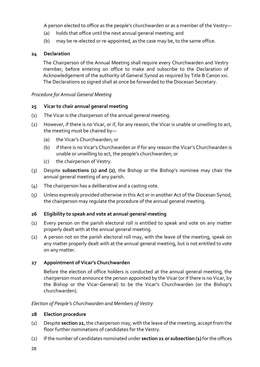A person elected to office as the people's churchwarden or as a member of the Vestry—

- (a) holds that office until the next annual general meeting; and
- (b) may be re-elected or re-appointed, as the case may be, to the same office.

# **24 Declaration**

The Chairperson of the Annual Meeting shall require every Churchwarden and Vestry member, before entering on office to make and subscribe to the Declaration of Acknowledgement of the authority of General Synod as required by Title B Canon xxi. The Declarations so signed shall at once be forwarded to the Diocesan Secretary.

#### *Procedure for Annual General Meeting*

#### **25 Vicar to chair annual general meeting**

- (1) The Vicar is the chairperson of the annual general meeting.
- (2) However, if there is no Vicar, or if, for any reason, the Vicar is unable or unwilling to act, the meeting must be chaired by—
	- (a) the Vicar's Churchwarden; or
	- (b) if there is no Vicar's Churchwarden or if for any reason the Vicar's Churchwarden is unable or unwilling to act, the people's churchwarden; or
	- (c) the chairperson of Vestry.
- (3) Despite **subsections (1) and (2)**, the Bishop or the Bishop's nominee may chair the annual general meeting of any parish.
- (4) The chairperson has a deliberative and a casting vote.
- (5) Unless expressly provided otherwise in this Act or in another Act of the Diocesan Synod, the chairperson may regulate the procedure of the annual general meeting.

#### **26 Eligibility to speak and vote at annual general meeting**

- (1) Every person on the parish electoral roll is entitled to speak and vote on any matter properly dealt with at the annual general meeting.
- (2) A person not on the parish electoral roll may, with the leave of the meeting, speak on any matter properly dealt with at the annual general meeting, but is not entitled to vote on any matter.

# **27 Appointment of Vicar's Churchwarden**

Before the election of office holders is conducted at the annual general meeting, the chairperson must announce the person appointed by the Vicar (or if there is no Vicar, by the Bishop or the Vicar-General) to be the Vicar's Churchwarden (or the Bishop's churchwarden).

# *Election of People's Churchwarden and Members of Vestry*

#### **28 Election procedure**

- (1) Despite **section 21**, the chairperson may, with the leave of the meeting, accept from the floor further nominations of candidates for the Vestry.
- (2) If the number of candidates nominated under **section 21 or subsection (1)** for the offices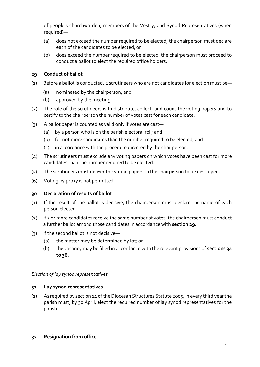of people's churchwarden, members of the Vestry, and Synod Representatives (when required)—

- (a) does not exceed the number required to be elected, the chairperson must declare each of the candidates to be elected; or
- (b) does exceed the number required to be elected, the chairperson must proceed to conduct a ballot to elect the required office holders.

# **29 Conduct of ballot**

- (1) Before a ballot is conducted, 2 scrutineers who are not candidates for election must be—
	- (a) nominated by the chairperson; and
	- (b) approved by the meeting.
- (2) The role of the scrutineers is to distribute, collect, and count the voting papers and to certify to the chairperson the number of votes cast for each candidate.
- (3) A ballot paper is counted as valid only if votes are cast—
	- (a) by a person who is on the parish electoral roll; and
	- (b) for not more candidates than the number required to be elected; and
	- (c) in accordance with the procedure directed by the chairperson.
- (4) The scrutineers must exclude any voting papers on which votes have been cast for more candidates than the number required to be elected.
- (5) The scrutineers must deliver the voting papers to the chairperson to be destroyed.
- (6) Voting by proxy is not permitted.

#### **30 Declaration of results of ballot**

- (1) If the result of the ballot is decisive, the chairperson must declare the name of each person elected.
- (2) If 2 or more candidates receive the same number of votes, the chairperson must conduct a further ballot among those candidates in accordance with **section 29.**
- (3) If the second ballot is not decisive—
	- (a) the matter may be determined by lot; or
	- (b) the vacancy may be filled in accordance with the relevant provisions of **sections 34 to 36**.

#### *Election of lay synod representatives*

#### **31 Lay synod representatives**

(1) As required by section 14 of the Diocesan Structures Statute 2005, in every third year the parish must, by 30 April, elect the required number of lay synod representatives for the parish.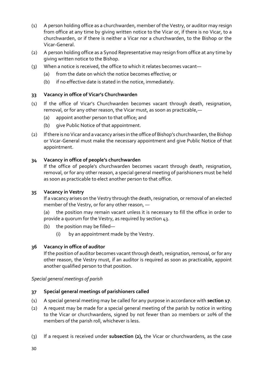- (1) A person holding office as a churchwarden, member of the Vestry, or auditor may resign from office at any time by giving written notice to the Vicar or, if there is no Vicar, to a churchwarden, or if there is neither a Vicar nor a churchwarden, to the Bishop or the Vicar-General.
- (2) A person holding office as a Synod Representative may resign from office at any time by giving written notice to the Bishop.
- (3) When a notice is received, the office to which it relates becomes vacant—
	- (a) from the date on which the notice becomes effective; or
	- (b) if no effective date is stated in the notice, immediately.

# **33 Vacancy in office of Vicar's Churchwarden**

- (1) If the office of Vicar's Churchwarden becomes vacant through death, resignation, removal, or for any other reason, the Vicar must, as soon as practicable,—
	- (a) appoint another person to that office; and
	- (b) give Public Notice of that appointment.
- (2) If there is no Vicar and a vacancy arises in the office of Bishop's churchwarden, the Bishop or Vicar-General must make the necessary appointment and give Public Notice of that appointment.

# **34 Vacancy in office of people's churchwarden**

If the office of people's churchwarden becomes vacant through death, resignation, removal, or for any other reason, a special general meeting of parishioners must be held as soon as practicable to elect another person to that office.

# **35 Vacancy in Vestry**

If a vacancy arises on the Vestry through the death, resignation, or removal of an elected member of the Vestry, or for any other reason, —

(a) the position may remain vacant unless it is necessary to fill the office in order to provide a quorum for the Vestry, as required by section 43.

- (b) the position may be filled—
	- (i) by an appointment made by the Vestry.

# **36 Vacancy in office of auditor**

If the position of auditor becomes vacant through death, resignation, removal, or for any other reason, the Vestry must, if an auditor is required as soon as practicable, appoint another qualified person to that position.

*Special general meetings of parish*

# **37 Special general meetings of parishioners called**

- (1) A special general meeting may be called for any purpose in accordance with **section 17**.
- (2) A request may be made for a special general meeting of the parish by notice in writing to the Vicar or churchwardens, signed by not fewer than 20 members or 20% of the members of the parish roll, whichever is less.
- (3) If a request is received under **subsection (2),** the Vicar or churchwardens, as the case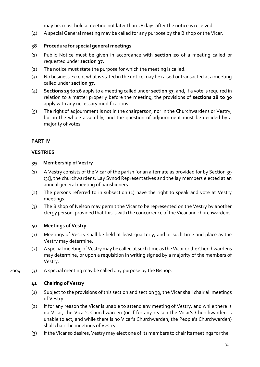may be, must hold a meeting not later than 28 days after the notice is received.

(4) A special General meeting may be called for any purpose by the Bishop or the Vicar.

# **38 Procedure for special general meetings**

- (1) Public Notice must be given in accordance with **section 20** of a meeting called or requested under **section 37**.
- (2) The notice must state the purpose for which the meeting is called.
- (3) No business except what is stated in the notice may be raised or transacted at a meeting called under **section 37**.
- (4) **Sections 25 to 26** apply to a meeting called under **section 37**, and, if a vote is required in relation to a matter properly before the meeting, the provisions of **sections 28 to 30**  apply with any necessary modifications.
- (5) The right of adjournment is not in the chairperson, nor in the Churchwardens or Vestry, but in the whole assembly, and the question of adjournment must be decided by a majority of votes.

# **PART IV**

#### **VESTRIES**

# **39 Membership of Vestry**

- (1) A Vestry consists of the Vicar of the parish [or an alternate as provided for by Section 39 (3)], the churchwardens, Lay Synod Representatives and the lay members elected at an annual general meeting of parishioners.
- (2) The persons referred to in subsection (1) have the right to speak and vote at Vestry meetings.
- (3) The Bishop of Nelson may permit the Vicar to be represented on the Vestry by another clergy person, provided that this is with the concurrence of the Vicar and churchwardens.

# **40 Meetings of Vestry**

- (1) Meetings of Vestry shall be held at least quarterly, and at such time and place as the Vestry may determine.
- (2) A special meeting of Vestry may be called at such time as the Vicar or the Churchwardens may determine, or upon a requisition in writing signed by a majority of the members of Vestry.
- 2009 (3) A special meeting may be called any purpose by the Bishop.

# **41 Chairing of Vestry**

- (1) Subject to the provisions of this section and section 39, the Vicar shall chair all meetings of Vestry.
- (2) If for any reason the Vicar is unable to attend any meeting of Vestry, and while there is no Vicar, the Vicar's Churchwarden (or if for any reason the Vicar's Churchwarden is unable to act, and while there is no Vicar's Churchwarden, the People's Churchwarden) shall chair the meetings of Vestry.
- (3) If the Vicar so desires, Vestry may elect one of its members to chair its meetings for the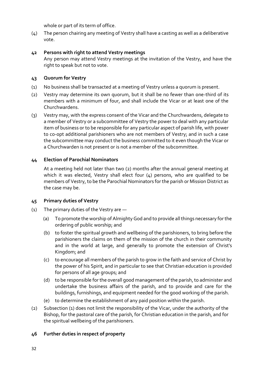whole or part of its term of office.

(4) The person chairing any meeting of Vestry shall have a casting as well as a deliberative vote.

# **42 Persons with right to attend Vestry meetings**

Any person may attend Vestry meetings at the invitation of the Vestry, and have the right to speak but not to vote.

# **43 Quorum for Vestry**

- (1) No business shall be transacted at a meeting of Vestry unless a quorum is present.
- (2) Vestry may determine its own quorum, but it shall be no fewer than one-third of its members with a minimum of four, and shall include the Vicar or at least one of the Churchwardens.
- (3) Vestry may, with the express consent of the Vicar and the Churchwardens, delegate to a member of Vestry or a subcommittee of Vestry the power to deal with any particular item of business or to be responsible for any particular aspect of parish life, with power to co-opt additional parishioners who are not members of Vestry; and in such a case the subcommittee may conduct the business committed to it even though the Vicar or a Churchwarden is not present or is not a member of the subcommittee.

# **44 Election of Parochial Nominators**

At a meeting held not later than two (2) months after the annual general meeting at which it was elected, Vestry shall elect four (4) persons, who are qualified to be members of Vestry, to be the Parochial Nominators for the parish or Mission District as the case may be.

# **45 Primary duties of Vestry**

- (1) The primary duties of the Vestry are
	- (a) To promote the worship of Almighty God and to provide all things necessary for the ordering of public worship; and
	- (b) to foster the spiritual growth and wellbeing of the parishioners, to bring before the parishioners the claims on them of the mission of the church in their community and in the world at large, and generally to promote the extension of Christ's Kingdom; and
	- (c) to encourage all members of the parish to grow in the faith and service of Christ by the power of his Spirit, and in particular to see that Christian education is provided for persons of all age groups; and
	- (d) to be responsible for the overall good management of the parish, to administer and undertake the business affairs of the parish, and to provide and care for the buildings, furnishings, and equipment needed for the good working of the parish.
	- (e) to determine the establishment of any paid position within the parish.
- (2) Subsection (1) does not limit the responsibility of the Vicar, under the authority of the Bishop, for the pastoral care of the parish, for Christian education in the parish, and for the spiritual wellbeing of the parishioners.

# **46 Further duties in respect of property**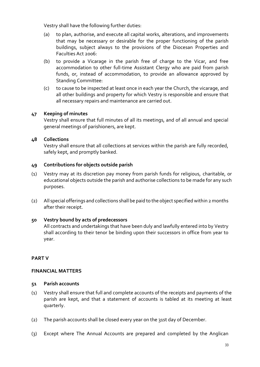Vestry shall have the following further duties:

- (a) to plan, authorise, and execute all capital works, alterations, and improvements that may be necessary or desirable for the proper functioning of the parish buildings, subject always to the provisions of the Diocesan Properties and Faculties Act 2006:
- (b) to provide a Vicarage in the parish free of charge to the Vicar, and free accommodation to other full-time Assistant Clergy who are paid from parish funds, or, instead of accommodation, to provide an allowance approved by Standing Committee:
- (c) to cause to be inspected at least once in each year the Church, the vicarage, and all other buildings and property for which Vestry is responsible and ensure that all necessary repairs and maintenance are carried out.

# **47 Keeping of minutes**

Vestry shall ensure that full minutes of all its meetings, and of all annual and special general meetings of parishioners, are kept.

# **48 Collections**

Vestry shall ensure that all collections at services within the parish are fully recorded, safely kept, and promptly banked.

#### **49 Contributions for objects outside parish**

- (1) Vestry may at its discretion pay money from parish funds for religious, charitable, or educational objects outside the parish and authorise collections to be made for any such purposes.
- (2) All special offerings and collections shall be paid to the object specified within 2 months after their receipt.

# **50 Vestry bound by acts of predecessors**

All contracts and undertakings that have been duly and lawfully entered into by Vestry shall according to their tenor be binding upon their successors in office from year to year.

# **PART V**

#### **FINANCIAL MATTERS**

#### **51 Parish accounts**

- (1) Vestry shall ensure that full and complete accounts of the receipts and payments of the parish are kept, and that a statement of accounts is tabled at its meeting at least quarterly.
- (2) The parish accounts shall be closed every year on the 31st day of December.
- (3) Except where The Annual Accounts are prepared and completed by the Anglican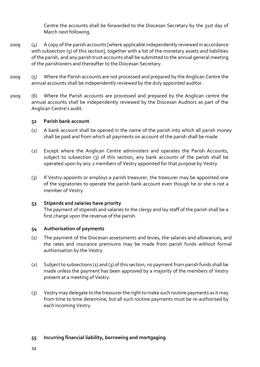Centre the accounts shall be forwarded to the Diocesan Secretary by the 31st day of March next following.

- 2009 (4) A copy of the parish accounts [where applicable independently reviewed in accordance with subsection (5) of this section], together with a list of the monetary assets and liabilities of the parish, and any parish trust accounts shall be submitted to the annual general meeting of the parishioners and thereafter to the Diocesan Secretary.
- 2009 (5) Where the Parish accounts are not processed and prepared by the Anglican Centre the annual accounts shall be independently reviewed by the duly appointed auditor.
- 2009 (6) Where the Parish accounts are processed and prepared by the Anglican centre the annual accounts shall be independently reviewed by the Diocesan Auditors as part of the Anglican Centre's audit.

#### **52 Parish bank account**

- (1) A bank account shall be opened in the name of the parish into which all parish money shall be paid and from which all payments on account of the parish shall be made.
- (2) Except where the Anglican Centre administers and operates the Parish Accounts, subject to subsection (3) of this section, any bank accounts of the parish shall be operated upon by any 2 members of Vestry appointed for that purpose by Vestry.
- (3) If Vestry appoints or employs a parish treasurer, the treasurer may be appointed one of the signatories to operate the parish bank account even though he or she is not a member of Vestry.

# **53 Stipends and salaries have priority**

The payment of stipends and salaries to the clergy and lay staff of the parish shall be a first charge upon the revenue of the parish.

#### **54 Authorisation of payments**

- (1) The payment of the Diocesan assessments and levies, the salaries and allowances, and the rates and insurance premiums may be made from parish funds without formal authorisation by the Vestry.
- (2) Subject to subsections (1) and (3) of this section, no payment from parish funds shall be made unless the payment has been approved by a majority of the members of Vestry present at a meeting of Vestry.
- (3) Vestry may delegate to the treasurer the right to make such routine payments as it may from time to time determine; but all such routine payments must be re-authorised by each incoming Vestry.

#### **55 Incurring financial liability, borrowing and mortgaging**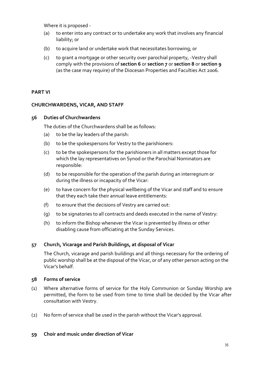Where it is proposed -

- (a) to enter into any contract or to undertake any work that involves any financial liability; or
- (b) to acquire land or undertake work that necessitates borrowing; or
- (c) to grant a mortgage or other security over parochial property, -Vestry shall comply with the provisions of **section 6** or **section 7** or **section 8** or **section 9** (as the case may require) of the Diocesan Properties and Faculties Act 2006.

#### **PART VI**

#### **CHURCHWARDENS, VICAR, AND STAFF**

#### **56 Duties of Churchwardens**

The duties of the Churchwardens shall be as follows:

- (a) to be the lay leaders of the parish:
- (b) to be the spokespersons for Vestry to the parishioners:
- (c) to be the spokespersons for the parishioners in all matters except those for which the lay representatives on Synod or the Parochial Nominators are responsible:
- (d) to be responsible for the operation of the parish during an interregnum or during the illness or incapacity of the Vicar:
- (e) to have concern for the physical wellbeing of the Vicar and staff and to ensure that they each take their annual leave entitlements:
- (f) to ensure that the decisions of Vestry are carried out:
- (g) to be signatories to all contracts and deeds executed in the name of Vestry:
- (h) to inform the Bishop whenever the Vicar is prevented by illness or other disabling cause from officiating at the Sunday Services.

# **57 Church, Vicarage and Parish Buildings, at disposal of Vicar**

The Church, vicarage and parish buildings and all things necessary for the ordering of public worship shall be at the disposal of the Vicar, or of any other person acting on the Vicar's behalf.

#### **58 Forms of service**

- (1) Where alternative forms of service for the Holy Communion or Sunday Worship are permitted, the form to be used from time to time shall be decided by the Vicar after consultation with Vestry.
- (2) No form of service shall be used in the parish without the Vicar's approval.

#### **59 Choir and music under direction of Vicar**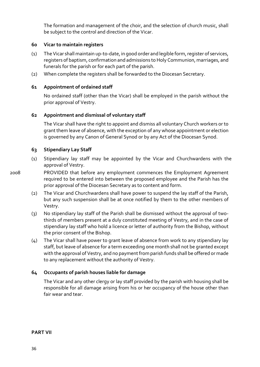The formation and management of the choir, and the selection of church music, shall be subject to the control and direction of the Vicar.

#### **60 Vicar to maintain registers**

- (1) The Vicar shall maintain up-to-date, in good order and legible form, register of services, registers of baptism, confirmation and admissions to Holy Communion, marriages, and funerals for the parish or for each part of the parish.
- (2) When complete the registers shall be forwarded to the Diocesan Secretary.

#### **61 Appointment of ordained staff**

No ordained staff (other than the Vicar) shall be employed in the parish without the prior approval of Vestry.

#### **62 Appointment and dismissal of voluntary staff**

The Vicar shall have the right to appoint and dismiss all voluntary Church workers or to grant them leave of absence, with the exception of any whose appointment or election is governed by any Canon of General Synod or by any Act of the Diocesan Synod.

#### **63 Stipendiary Lay Staff**

- (1) Stipendiary lay staff may be appointed by the Vicar and Churchwardens with the approval of Vestry.
- 

2008 PROVIDED that before any employment commences the Employment Agreement required to be entered into between the proposed employee and the Parish has the prior approval of the Diocesan Secretary as to content and form.

- (2) The Vicar and Churchwardens shall have power to suspend the lay staff of the Parish, but any such suspension shall be at once notified by them to the other members of Vestry.
- (3) No stipendiary lay staff of the Parish shall be dismissed without the approval of twothirds of members present at a duly constituted meeting of Vestry, and in the case of stipendiary lay staff who hold a licence or letter of authority from the Bishop, without the prior consent of the Bishop.
- (4) The Vicar shall have power to grant leave of absence from work to any stipendiary lay staff, but leave of absence for a term exceeding one month shall not be granted except with the approval of Vestry, and no payment from parish funds shall be offered or made to any replacement without the authority of Vestry.

# **64 Occupants of parish houses liable for damage**

The Vicar and any other clergy or lay staff provided by the parish with housing shall be responsible for all damage arising from his or her occupancy of the house other than fair wear and tear.

**PART VII**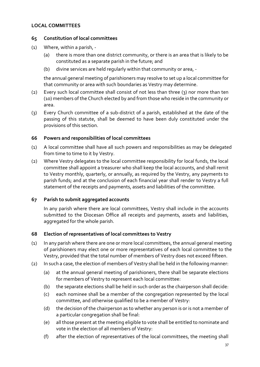# **LOCAL COMMITTEES**

#### **65 Constitution of local committees**

- (1) Where, within a parish,
	- (a) there is more than one district community, or there is an area that is likely to be constituted as a separate parish in the future; and
	- (b) divine services are held regularly within that community or area, -

the annual general meeting of parishioners may resolve to set up a local committee for that community or area with such boundaries as Vestry may determine.

- (2) Every such local committee shall consist of not less than three (3) nor more than ten (10) members of the Church elected by and from those who reside in the community or area.
- (3) Every Church committee of a sub-district of a parish, established at the date of the passing of this statute, shall be deemed to have been duly constituted under the provisions of this section.

#### **66 Powers and responsibilities of local committees**

- (1) A local committee shall have all such powers and responsibilities as may be delegated from time to time to it by Vestry.
- (2) Where Vestry delegates to the local committee responsibility for local funds, the local committee shall appoint a treasurer who shall keep the local accounts, and shall remit to Vestry monthly, quarterly, or annually, as required by the Vestry, any payments to parish funds; and at the conclusion of each financial year shall render to Vestry a full statement of the receipts and payments, assets and liabilities of the committee.

# **67 Parish to submit aggregated accounts**

In any parish where there are local committees, Vestry shall include in the accounts submitted to the Diocesan Office all receipts and payments, assets and liabilities, aggregated for the whole parish.

#### **68 Election of representatives of local committees to Vestry**

- (1) In any parish where there are one or more local committees, the annual general meeting of parishioners may elect one or more representatives of each local committee to the Vestry, provided that the total number of members of Vestry does not exceed fifteen.
- (2) In such a case, the election of members of Vestry shall be held in the following manner:
	- (a) at the annual general meeting of parishioners, there shall be separate elections for members of Vestry to represent each local committee:
	- (b) the separate elections shall be held in such order as the chairperson shall decide:
	- (c) each nominee shall be a member of the congregation represented by the local committee, and otherwise qualified to be a member of Vestry:
	- (d) the decision of the chairperson as to whether any person is or is not a member of a particular congregation shall be final:
	- (e) all those present at the meeting eligible to vote shall be entitled to nominate and vote in the election of all members of Vestry:
	- (f) after the election of representatives of the local committees, the meeting shall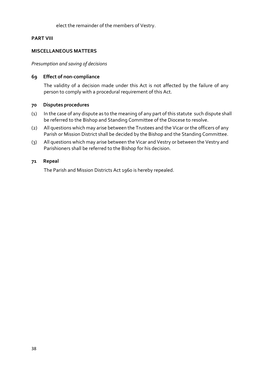#### elect the remainder of the members of Vestry.

#### **PART VIII**

#### **MISCELLANEOUS MATTERS**

#### *Presumption and saving of decisions*

#### **69 Effect of non-compliance**

The validity of a decision made under this Act is not affected by the failure of any person to comply with a procedural requirement of this Act.

#### **70 Disputes procedures**

- (1) In the case of any dispute as to the meaning of any part of this statute such dispute shall be referred to the Bishop and Standing Committee of the Diocese to resolve.
- (2) All questions which may arise between the Trustees and the Vicar or the officers of any Parish or Mission District shall be decided by the Bishop and the Standing Committee.
- (3) All questions which may arise between the Vicar and Vestry or between the Vestry and Parishioners shall be referred to the Bishop for his decision.

#### **71 Repeal**

The Parish and Mission Districts Act 1960 is hereby repealed.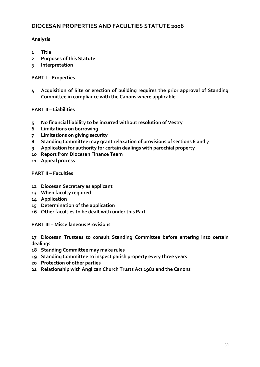# **DIOCESAN PROPERTIES AND FACULTIES STATUTE 2006**

# **Analysis**

- **1 Title**
- **2 Purposes of this Statute**
- **3 Interpretation**

#### **PART I – Properties**

**4 Acquisition of Site or erection of building requires the prior approval of Standing Committee in compliance with the Canons where applicable**

#### **PART II – Liabilities**

- **5 No financial liability to be incurred without resolution of Vestry**
- **6 Limitations on borrowing**
- **7 Limitations on giving security**
- **8 Standing Committee may grant relaxation of provisions of sections 6 and 7**
- **9 Application for authority for certain dealings with parochial property**
- **10 Report from Diocesan Finance Team**
- **11 Appeal process**

#### **PART II – Faculties**

- **12 Diocesan Secretary as applicant**
- **13 When faculty required**
- **14 Application**
- **15 Determination of the application**
- **16 Other faculties to be dealt with under this Part**

**PART III – Miscellaneous Provisions**

**17 Diocesan Trustees to consult Standing Committee before entering into certain dealings**

- **18 Standing Committee may make rules**
- **19 Standing Committee to inspect parish property every three years**
- **20 Protection of other parties**
- **21 Relationship with Anglican Church Trusts Act 1981 and the Canons**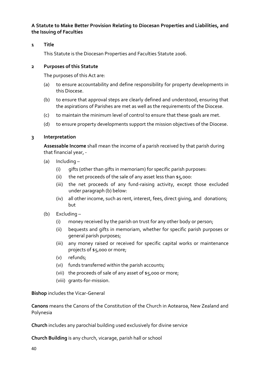**A Statute to Make Better Provision Relating to Diocesan Properties and Liabilities, and the Issuing of Faculties**

#### **1 Title**

This Statute is the Diocesan Properties and Faculties Statute 2006.

#### **2 Purposes of this Statute**

The purposes of this Act are:

- (a) to ensure accountability and define responsibility for property developments in this Diocese.
- (b) to ensure that approval steps are clearly defined and understood, ensuring that the aspirations of Parishes are met as well as the requirements of the Diocese.
- (c) to maintain the minimum level of control to ensure that these goals are met.
- (d) to ensure property developments support the mission objectives of the Diocese.

#### **3 Interpretation**

**Assessable Income** shall mean the income of a parish received by that parish during that financial year, -

- (a) Including
	- (i) gifts (other than gifts in memoriam) for specific parish purposes:
	- (ii) the net proceeds of the sale of any asset less than  $$5,000$ :
	- (iii) the net proceeds of any fund-raising activity, except those excluded under paragraph (b) below:
	- (iv) all other income, such as rent, interest, fees, direct giving, and donations; but
- (b) Excluding
	- (i) money received by the parish on trust for any other body or person;
	- (ii) bequests and gifts in memoriam, whether for specific parish purposes or general parish purposes;
	- (iii) any money raised or received for specific capital works or maintenance projects of \$5,000 or more;
	- (v) refunds;
	- (vi) funds transferred within the parish accounts;
	- (vii) the proceeds of sale of any asset of \$5,000 or more;
	- (viii) grants-for-mission.

# **Bishop** includes the Vicar-General

**Canons** means the Canons of the Constitution of the Church in Aotearoa, New Zealand and Polynesia

**Church** includes any parochial building used exclusively for divine service

**Church Building** is any church, vicarage, parish hall or school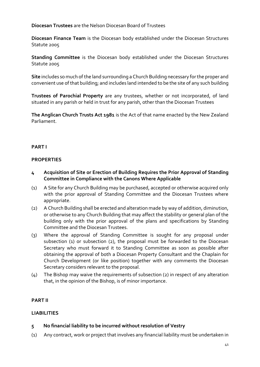# **Diocesan Trustees** are the Nelson Diocesan Board of Trustees

**Diocesan Finance Team** is the Diocesan body established under the Diocesan Structures Statute 2005

**Standing Committee** is the Diocesan body established under the Diocesan Structures Statute 2005

**Site** includes so much of the land surrounding a Church Building necessary for the proper and convenient use of that building; and includes land intended to be the site of any such building

**Trustees of Parochial Property** are any trustees, whether or not incorporated, of land situated in any parish or held in trust for any parish, other than the Diocesan Trustees

**The Anglican Church Trusts Act 1981** is the Act of that name enacted by the New Zealand Parliament.

#### **PART I**

#### **PROPERTIES**

- **4 Acquisition of Site or Erection of Building Requires the Prior Approval of Standing Committee in Compliance with the Canons Where Applicable**
- (1) A Site for any Church Building may be purchased, accepted or otherwise acquired only with the prior approval of Standing Committee and the Diocesan Trustees where appropriate.
- (2) A Church Building shall be erected and alteration made by way of addition, diminution, or otherwise to any Church Building that may affect the stability or general plan of the building only with the prior approval of the plans and specifications by Standing Committee and the Diocesan Trustees.
- (3) Where the approval of Standing Committee is sought for any proposal under subsection (1) or subsection (2), the proposal must be forwarded to the Diocesan Secretary who must forward it to Standing Committee as soon as possible after obtaining the approval of both a Diocesan Property Consultant and the Chaplain for Church Development (or like position) together with any comments the Diocesan Secretary considers relevant to the proposal.
- (4) The Bishop may waive the requirements of subsection (2) in respect of any alteration that, in the opinion of the Bishop, is of minor importance.

#### **PART II**

#### **LIABILITIES**

#### **5 No financial liability to be incurred without resolution of Vestry**

(1) Any contract, work or project that involves any financial liability must be undertaken in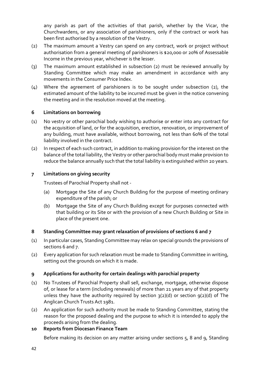any parish as part of the activities of that parish, whether by the Vicar, the Churchwardens, or any association of parishioners, only if the contract or work has been first authorised by a resolution of the Vestry.

- (2) The maximum amount a Vestry can spend on any contract, work or project without authorisation from a general meeting of parishioners is \$20,000 or 20% of Assessable Income in the previous year, whichever is the lesser.
- (3) The maximum amount established in subsection (2) must be reviewed annually by Standing Committee which may make an amendment in accordance with any movements in the Consumer Price Index.
- (4) Where the agreement of parishioners is to be sought under subsection (2), the estimated amount of the liability to be incurred must be given in the notice convening the meeting and in the resolution moved at the meeting.

# **6 Limitations on borrowing**

- (1) No vestry or other parochial body wishing to authorise or enter into any contract for the acquisition of land, or for the acquisition, erection, renovation, or improvement of any building, must have available, without borrowing, not less than 60% of the total liability involved in the contract.
- (2) In respect of each such contract, in addition to making provision for the interest on the balance of the total liability, the Vestry or other parochial body must make provision to reduce the balance annually such that the total liability is extinguished within 20 years.

# **7 Limitations on giving security**

Trustees of Parochial Property shall not -

- (a) Mortgage the Site of any Church Building for the purpose of meeting ordinary expenditure of the parish; or
- (b) Mortgage the Site of any Church Building except for purposes connected with that building or its Site or with the provision of a new Church Building or Site in place of the present one.

# **8 Standing Committee may grant relaxation of provisions of sections 6 and 7**

- (1) In particular cases, Standing Committee may relax on special grounds the provisions of sections 6 and 7.
- (2) Every application for such relaxation must be made to Standing Committee in writing, setting out the grounds on which it is made.

# **9 Applications for authority for certain dealings with parochial property**

- (1) No Trustees of Parochial Property shall sell, exchange, mortgage, otherwise dispose of, or lease for a term (including renewals) of more than 21 years any of that property unless they have the authority required by section  $3(2)(d)$  or section  $9(2)(d)$  of The Anglican Church Trusts Act 1981.
- (2) An application for such authority must be made to Standing Committee, stating the reason for the proposed dealing and the purpose to which it is intended to apply the proceeds arising from the dealing.

# **10 Reports from Diocesan Finance Team**

Before making its decision on any matter arising under sections 5, 8 and 9, Standing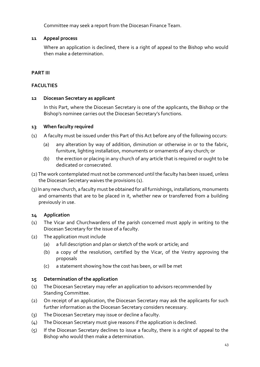Committee may seek a report from the Diocesan Finance Team.

# **11 Appeal process**

Where an application is declined, there is a right of appeal to the Bishop who would then make a determination.

#### **PART III**

#### **FACULTIES**

#### **12 Diocesan Secretary as applicant**

In this Part, where the Diocesan Secretary is one of the applicants, the Bishop or the Bishop's nominee carries out the Diocesan Secretary's functions.

#### **13 When faculty required**

- (1) A faculty must be issued under this Part of this Act before any of the following occurs:
	- (a) any alteration by way of addition, diminution or otherwise in or to the fabric, furniture, lighting installation, monuments or ornaments of any church; or
	- (b) the erection or placing in any church of any article that is required or ought to be dedicated or consecrated.
- (2) The work contemplated must not be commenced until the faculty has been issued, unless the Diocesan Secretary waives the provisions (1).
- (3) In any new church, a faculty must be obtained for all furnishings, installations, monuments and ornaments that are to be placed in it, whether new or transferred from a building previously in use.

#### **14 Application**

- (1) The Vicar and Churchwardens of the parish concerned must apply in writing to the Diocesan Secretary for the issue of a faculty.
- (2) The application must include
	- (a) a full description and plan or sketch of the work or article; and
	- (b) a copy of the resolution, certified by the Vicar, of the Vestry approving the proposals
	- (c) a statement showing how the cost has been, or will be met

#### **15 Determination of the application**

- (1) The Diocesan Secretary may refer an application to advisors recommended by Standing Committee.
- (2) On receipt of an application, the Diocesan Secretary may ask the applicants for such further information as the Diocesan Secretary considers necessary.
- (3) The Diocesan Secretary may issue or decline a faculty.
- (4) The Diocesan Secretary must give reasons if the application is declined.
- (5) If the Diocesan Secretary declines to issue a faculty, there is a right of appeal to the Bishop who would then make a determination.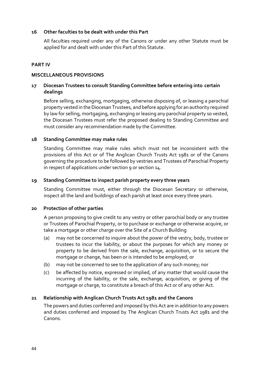#### **16 Other faculties to be dealt with under this Part**

All faculties required under any of the Canons or under any other Statute must be applied for and dealt with under this Part of this Statute.

# **PART IV**

# **MISCELLANEOUS PROVISIONS**

# **17 Diocesan Trustees to consult Standing Committee before entering into certain dealings**

Before selling, exchanging, mortgaging, otherwise disposing of, or leasing a parochial property vested in the Diocesan Trustees, and before applying for an authority required by law for selling, mortgaging, exchanging or leasing any parochial property so vested, the Diocesan Trustees must refer the proposed dealing to Standing Committee and must consider any recommendation made by the Committee.

# **18 Standing Committee may make rules**

Standing Committee may make rules which must not be inconsistent with the provisions of this Act or of The Anglican Church Trusts Act 1981 or of the Canons governing the procedure to be followed by vestries and Trustees of Parochial Property in respect of applications under section 9 or section 14.

#### **19 Standing Committee to inspect parish property every three years**

Standing Committee must, either through the Diocesan Secretary or otherwise, inspect all the land and buildings of each parish at least once every three years.

#### **20 Protection of other parties**

A person proposing to give credit to any vestry or other parochial body or any trustee or Trustees of Parochial Property, or to purchase or exchange or otherwise acquire, or take a mortgage or other charge over the Site of a Church Building

- (a) may not be concerned to inquire about the power of the vestry, body, trustee or trustees to incur the liability, or about the purposes for which any money or property to be derived from the sale, exchange, acquisition, or to secure the mortgage or change, has been or is intended to be employed; or
- (b) may not be concerned to see to the application of any such money; nor
- (c) be affected by notice, expressed or implied, of any matter that would cause the incurring of the liability, or the sale, exchange, acquisition, or giving of the mortgage or charge, to constitute a breach of this Act or of any other Act.

# **21 Relationship with Anglican Church Trusts Act 1981 and the Canons**

The powers and duties conferred and imposed by this Act are in addition to any powers and duties conferred and imposed by The Anglican Church Trusts Act 1981 and the Canons.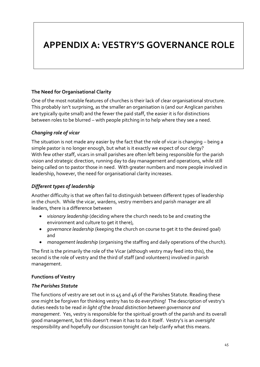# **APPENDIX A: VESTRY'S GOVERNANCE ROLE**

# **The Need for Organisational Clarity**

One of the most notable features of churches is their lack of clear organisational structure. This probably isn't surprising, as the smaller an organisation is (and our Anglican parishes are typically quite small) and the fewer the paid staff, the easier it is for distinctions between roles to be blurred – with people pitching in to help where they see a need.

# *Changing role of vicar*

The situation is not made any easier by the fact that the role of vicar is changing – being a simple pastor is no longer enough, but what is it exactly we expect of our clergy? With few other staff, vicars in small parishes are often left being responsible for the parish vision and strategic direction, running day to day management and operations, while still being called on to pastor those in need. With greater numbers and more people involved in leadership, however, the need for organisational clarity increases.

# *Different types of leadership*

Another difficulty is that we often fail to distinguish between different types of leadership in the church. While the vicar, wardens, vestry members and parish manager are all leaders, there is a difference between

- *visionary leadership* (deciding where the church needs to be and creating the environment and culture to get it there),
- *governance leadership* (keeping the church on course to get it to the desired goal) and
- *management leadership* (organising the staffing and daily operations of the church).

The first is the primarily the role of the Vicar (although vestry may feed into this), the second is the role of vestry and the third of staff (and volunteers) involved in parish management.

# **Functions of Vestry**

# *The Parishes Statute*

The functions of vestry are set out in ss 45 and 46 of the Parishes Statute. Reading these one might be forgiven for thinking vestry has to do everything! The description of vestry's duties needs to be read *in light of* the *broad distinction between governance and management*. Yes, vestry is responsible for the spiritual growth of the parish and its overall good management, but this doesn't mean it has to do it itself. Vestry's is an *oversight* responsibility and hopefully our discussion tonight can help clarify what this means.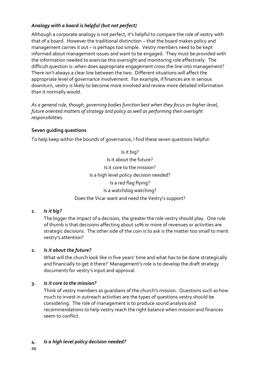# *Analogy with a board is helpful (but not perfect)*

Although a corporate analogy is not perfect, it's helpful to compare the role of vestry with that of a board. However the traditional distinction – that the board makes policy and management carries it out – is perhaps too simple. Vestry members need to be kept informed about management issues and want to be engaged. They must be provided with the information needed to exercise this oversight and monitoring role effectively. The difficult question is: when does appropriate engagement cross the line into management? There isn't always a clear line between the two. Different situations will affect the appropriate level of governance involvement. For example, if finances are in serious downturn, vestry is likely to become more involved and review more detailed information than it normally would.

*As a general rule, though, governing bodies function best when they focus on higher-level, future oriented matters of strategy and policy as well as performing their oversight responsibilities.* 

# **Seven guiding questions**

To help keep within the bounds of governance, I find these seven questions helpful:

Is it big? Is it about the future? Is it core to the mission? Is a high level policy decision needed? Is a red flag flying? Is a watchdog watching? Does the Vicar want and need the Vestry's support?

# **1.** *Is it big?*

The bigger the impact of a decision, the greater the role vestry should play. One rule of thumb is that decisions affecting about 10% or more of revenues or activities are strategic decisions. The other side of the coin is to ask is the matter too small to merit vestry's attention?

# **2.** *Is it about the future?*

What will the church look like in five years' time and what has to be done strategically and financially to get it there? Management's role is to develop the draft strategy documents for vestry's input and approval.

# **3.** *Is it core to the mission?*

Think of vestry members as guardians of the church's mission. Questions such as how much to invest in outreach activities are the types of questions vestry should be considering. The role of management is to produce sound analysis and recommendations to help vestry reach the right balance when mission and finances seem to conflict.

**4.** *Is a high level policy decision needed?*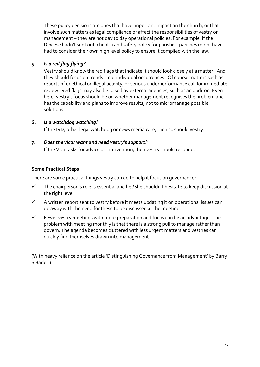These policy decisions are ones that have important impact on the church, or that involve such matters as legal compliance or affect the responsibilities of vestry or management – they are not day to day operational policies. For example, if the Diocese hadn't sent out a health and safety policy for parishes, parishes might have had to consider their own high level policy to ensure it complied with the law.

# **5.** *Is a red flag flying?*

Vestry should know the red flags that indicate it should look closely at a matter. And they should focus on trends – not individual occurrences. Of course matters such as reports of unethical or illegal activity, or serious underperformance call for immediate review. Red flags may also be raised by external agencies, such as an auditor. Even here, vestry's focus should be on whether management recognises the problem and has the capability and plans to improve results, not to micromanage possible solutions.

# **6.** *Is a watchdog watching?*

If the IRD, other legal watchdog or news media care, then so should vestry.

# **7.** *Does the vicar want and need vestry's support?*

If the Vicar asks for advice or intervention, then vestry should respond.

# **Some Practical Steps**

There are some practical things vestry can do to help it focus on governance:

- $\checkmark$  The chairperson's role is essential and he / she shouldn't hesitate to keep discussion at the right level.
- $\checkmark$  A written report sent to vestry before it meets updating it on operational issues can do away with the need for these to be discussed at the meeting.
- $\checkmark$  Fewer vestry meetings with more preparation and focus can be an advantage the problem with meeting monthly is that there is a strong pull to manage rather than govern. The agenda becomes cluttered with less urgent matters and vestries can quickly find themselves drawn into management.

(With heavy reliance on the article 'Distinguishing Governance from Management' by Barry S Bader.)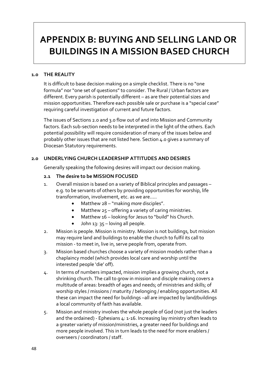# **APPENDIX B: BUYING AND SELLING LAND OR BUILDINGS IN A MISSION BASED CHURCH**

#### **1.0 THE REALITY**

It is difficult to base decision making on a simple checklist. There is no "one formula" nor "one set of questions" to consider. The Rural / Urban factors are different. Every parish is potentially different – as are their potential sizes and mission opportunities. Therefore each possible sale or purchase is a "special case" requiring careful investigation of current and future factors.

The issues of Sections 2.0 and 3.0 flow out of and into Mission and Community factors. Each sub-section needs to be interpreted in the light of the others. Each potential possibility will require consideration of many of the issues below and probably other issues that are not listed here. Section 4.0 gives a summary of Diocesan Statutory requirements.

#### **2.0 UNDERLYING CHURCH LEADERSHIP ATTITUDES AND DESIRES**

Generally speaking the following desires will impact our decision making.

#### **2.1 The desire to be MISSION FOCUSED**

- 1. Overall mission is based on a variety of Biblical principles and passages e.g. to be servants of others by providing opportunities for worship, life transformation, involvement, etc. as we are…..
	- Matthew 28 "making *more* disciples".
	- Matthew  $25 -$  offering a variety of caring ministries.
	- Matthew 16 looking for Jesus to "build" his Church.
	- John  $13: 35$  loving all people.
- 2. Mission is people. Mission is ministry. Mission is not buildings, but mission may require land and buildings to enable the church to fulfil its call to mission - to meet in, live in, serve people from, operate from.
- 3. Mission based churches choose a variety of mission models rather than a chaplaincy model (which provides local care and worship until the interested people 'die' off).
- 4. In terms of numbers impacted, mission implies a growing church, not a shrinking church. The call to grow in mission and disciple making covers a multitude of areas: breadth of ages and needs; of ministries and skills; of worship styles / missions / maturity / belonging / enabling opportunities. All these can impact the need for buildings –all are impacted by land/buildings a local community of faith has available.
- 5. Mission and ministry involves the whole people of God (not just the leaders and the ordained) - Ephesians 4: 1-16. Increasing lay ministry often leads to a greater variety of mission/ministries, a greater need for buildings and more people involved. This in turn leads to the need for more enablers / overseers / coordinators / staff.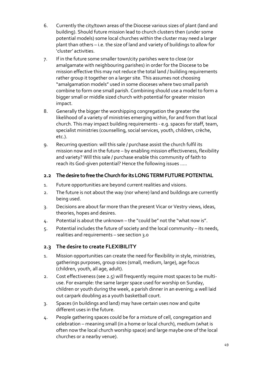- 6. Currently the city/town areas of the Diocese various sizes of plant (land and building). Should future mission lead to church clusters then (under some potential models) some local churches within the cluster may need a larger plant than others – i.e. the size of land and variety of buildings to allow for 'cluster' activities.
- 7. If in the future some smaller town/city parishes were to close (or amalgamate with neighbouring parishes) in order for the Diocese to be mission effective this may not reduce the total land / building requirements rather group it together on a larger site. This assumes not choosing "amalgamation models" used in some dioceses where two small parish combine to form one small parish. Combining should use a model to form a bigger small or middle sized church with potential for greater mission impact.
- 8. Generally the bigger the worshipping congregation the greater the likelihood of a variety of ministries emerging within, for and from that local church. This may impact building requirements - e.g. spaces for staff, team, specialist ministries (counselling, social services, youth, children, crèche, etc.).
- 9. Recurring question: will this sale / purchase assist the church fulfil its mission now and in the future – by enabling mission effectiveness, flexibility and variety? Will this sale / purchase enable this community of faith to reach its God-given potential? Hence the following issues …..

# **2.2 The desire to free the Church for its LONG TERM FUTURE POTENTIAL**

- 1. Future opportunities are beyond current realities and visions.
- 2. The future is not about the way (nor where) land and buildings are currently being used.
- 3. Decisions are about far more than the present Vicar or Vestry views, ideas, theories, hopes and desires.
- 4. Potential is about the unknown the "could be" not the "what now is".
- 5. Potential includes the future of society and the local community its needs, realities and requirements – see section 3.0

# **2.3 The desire to create FLEXIBILITY**

- 1. Mission opportunities can create the need for flexibility in style, ministries, gatherings purposes, group sizes (small, medium, large), age focus (children, youth, all age, adult).
- 2. Cost effectiveness (see 2.5) will frequently require most spaces to be multiuse. For example: the same larger space used for worship on Sunday, children or youth during the week, a parish dinner in an evening; a well laid out carpark doubling as a youth basketball court.
- 3. Spaces (in buildings and land) may have certain uses now and quite different uses in the future.
- 4. People gathering spaces could be for a mixture of cell, congregation and celebration – meaning small (in a home or local church), medium (what is often now the local church worship space) and large maybe one of the local churches or a nearby venue).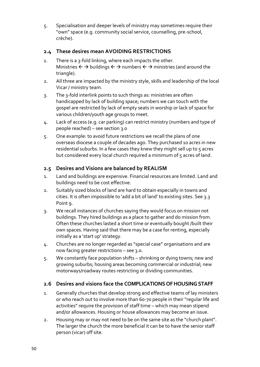5. Specialisation and deeper levels of ministry may sometimes require their "own" space (e.g. community social service, counselling, pre-school, crèche).

# **2.4 These desires mean AVOIDING RESTRICTIONS**

- 1. There is a 3-fold linking, where each impacts the other. Ministries  $\leftarrow \rightarrow$  buildings  $\leftarrow \rightarrow$  numbers  $\leftarrow \rightarrow$  ministries (and around the triangle).
- 2. All three are impacted by the ministry style, skills and leadership of the local Vicar / ministry team.
- 3. The 3-fold interlink points to such things as: ministries are often handicapped by lack of building space; numbers we can touch with the gospel are restricted by lack of empty seats in worship or lack of space for various children/youth age groups to meet.
- 4. Lack of access (e.g. car parking) can restrict ministry (numbers and type of people reached) – see section 3.0
- 5. One example: to avoid future restrictions we recall the plans of one overseas diocese a couple of decades ago. They purchased 10 acres in new residential suburbs. In a few cases they knew they might sell up to 5 acres but considered every local church required a minimum of 5 acres of land.

# **2.5 Desires and Visions are balanced by REALISM**

- 1. Land and buildings are expensive. Financial resources are limited. Land and buildings need to be cost effective.
- 2. Suitably sized blocks of land are hard to obtain especially in towns and cities. It is often impossible to 'add a bit of land' to existing sites. See 3.3 Point 9.
- 3. We recall instances of churches saying they would focus on mission not buildings. They hired buildings as a place to gather and do mission from. Often these churches lasted a short time or eventually bought /built their own spaces. Having said that there may be a case for renting, especially initially as a 'start up' strategy.
- 4. Churches are no longer regarded as "special case" organisations and are now facing greater restrictions – see 3.0.
- 5. We constantly face population shifts shrinking or dying towns; new and growing suburbs; housing areas becoming commercial or industrial; new motorways/roadway routes restricting or dividing communities.

# **2.6 Desires and visions face the COMPLICATIONS OF HOUSING STAFF**

- 1. Generally churches that develop strong and effective teams of lay ministers or who reach out to involve more than 60-70 people in their "regular life and activities" require the provision of staff time – which may mean stipend and/or allowances. Housing or house allowances may become an issue.
- 2. Housing may or may not need to be on the same site as the "church plant". The larger the church the more beneficial it can be to have the senior staff person (vicar) off site.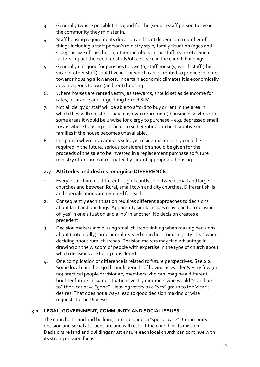- 3. Generally (where possible) it is good for the (senior) staff person to live in the community they minister in.
- 4. Staff housing requirements (location and size) depend on a number of things including a staff person's ministry style; family situation (ages and size); the size of the church; other members in the staff team; etc. Such factors impact the need for study/office space in the church buildings.
- 5. Generally it is good for parishes to own (a) staff house(s) which staff (the vicar or other staff) could live in – or which can be rented to provide income towards housing allowances. In certain economic climates it is economically advantageous to own (and rent) housing.
- 6. Where houses are rented vestry, as stewards, should set aside income for rates, insurance and larger long term R & M.
- 7. Not all clergy or staff will be able to afford to buy or rent in the area in which they will minister. They may own (retirement) housing elsewhere. In some areas it would be unwise for clergy to purchase – e.g. depressed small towns where housing is difficult to sell. Renting can be disruptive on families if the house becomes unavailable.
- 8. In a parish where a vicarage is sold, yet residential ministry could be required in the future, serious consideration should be given for the proceeds of the sale to be invested in a replacement purchase so future ministry offers are not restricted by lack of appropriate housing.

# **2.7 Attitudes and desires recognise DIFFERENCE**

- 1. Every local church is different significantly so between small and large churches and between Rural, small town and city churches. Different skills and specialisations are required for each.
- 2. Consequently each situation requires different approaches to decisions about land and buildings. Apparently similar issues may lead to a decision of 'yes' in one situation and a 'no' in another. No decision creates a precedent.
- 3. Decision makers avoid using small church thinking when making decisions about (potentially) large or multi-styled churches – or using city ideas when deciding about rural churches. Decision makers may find advantage in drawing on the wisdom of people with expertise in the type of church about which decisions are being considered.
- 4. One complication of difference is related to future perspectives. See 2.2. Some local churches go through periods of having as warden/vestry few (or no) practical people or visionary members who can imagine a different brighter future. In some situations vestry members who would "stand up to" the vicar have "gone" – leaving vestry as a "yes" group to the Vicar's desires. That does not always lead to good decision making or wise requests to the Diocese.

# **3.0 LEGAL, GOVERNMENT, COMMUNITY AND SOCIAL ISSUES**

The church, its land and buildings are no longer a "special case". Community decision and social attitudes are and will restrict the church in its mission. Decisions re land and buildings must ensure each local church can continue with its strong mission focus.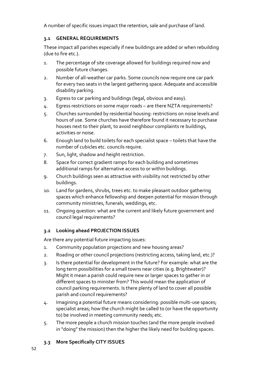A number of specific issues impact the retention, sale and purchase of land.

# **3.1 GENERAL REQUIREMENTS**

These impact all parishes especially if new buildings are added or when rebuilding (due to fire etc.).

- 1. The percentage of site coverage allowed for buildings required now and possible future changes.
- 2. Number of all-weather car parks. Some councils now require one car park for every two seats in the largest gathering space. Adequate and accessible disability parking.
- 3. Egress to car parking and buildings (legal, obvious and easy).
- 4. Egress restrictions on some major roads are there NZTA requirements?
- 5. Churches surrounded by residential housing: restrictions on noise levels and hours of use. Some churches have therefore found it necessary to purchase houses next to their plant, to avoid neighbour complaints re buildings, activities or noise.
- 6. Enough land to build toilets for each specialist space toilets that have the number of cubicles etc. councils require.
- 7. Sun, light, shadow and height restriction.
- 8. Space for correct gradient ramps for each building and sometimes additional ramps for alternative access to or within buildings.
- 9. Church buildings seen as attractive with visibility not restricted by other buildings.
- 10. Land for gardens, shrubs, trees etc. to make pleasant outdoor gathering spaces which enhance fellowship and deepen potential for mission through community ministries, funerals, weddings, etc.
- 11. Ongoing question: what are the current and likely future government and council legal requirements?

# **3.2 Looking ahead PROJECTION ISSUES**

Are there any potential future impacting issues:

- 1. Community population projections and new housing areas?
- 2. Roading or other council projections (restricting access, taking land, etc.)?
- 3. Is there potential for development in the future? For example: what are the long term possibilities for a small towns near cities (e.g. Brightwater)? Might it mean a parish could require new or larger spaces to gather in or different spaces to minister from? This would mean the application of council parking requirements. Is there plenty of land to cover all possible parish and council requirements?
- 4. Imagining a potential future means considering: possible multi-use spaces; specialist areas; how the church might be called to (or have the opportunity to) be involved in meeting community needs; etc.
- 5. The more people a church mission touches (and the more people involved in "doing" the mission) then the higher the likely need for building spaces.

# **3.3 More Specifically CITY ISSUES**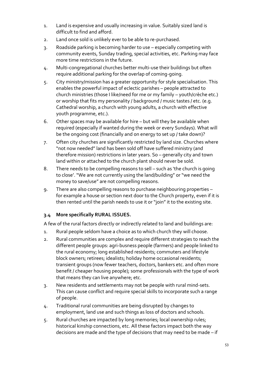- 1. Land is expensive and usually increasing in value. Suitably sized land is difficult to find and afford.
- 2. Land once sold is unlikely ever to be able to re-purchased.
- 3. Roadside parking is becoming harder to use especially competing with community events, Sunday trading, special activities, etc. Parking may face more time restrictions in the future.
- 4. Multi-congregational churches better multi-use their buildings but often require additional parking for the overlap of coming-going.
- 5. City ministry/mission has a greater opportunity for style specialisation. This enables the powerful impact of eclectic parishes – people attracted to church ministries (those I like/need for me or my family – youth/crèche etc.) or worship that fits my personality / background / music tastes / etc. (e.g. Cathedral worship, a church with young adults, a church with effective youth programme, etc.).
- 6. Other spaces may be available for hire but will they be available when required (especially if wanted during the week or every Sundays). What will be the ongoing cost (financially and on energy to set up / take down)?
- 7. Often city churches are significantly restricted by land size. Churches where "not now needed" land has been sold off have suffered ministry (and therefore mission) restrictions in later years. So – generally city and town land within or attached to the church plant should never be sold.
- 8. There needs to be compelling reasons to sell such as 'the church is going to close'. "We are not currently using the land/building" or "we need the money to save/use" are not compelling reasons.
- 9. There are also compelling reasons to purchase neighbouring properties for example a house or section next door to the Church property, even if it is then rented until the parish needs to use it or "join" it to the existing site.

# **3.4 More specifically RURAL ISSUES.**

A few of the rural factors directly or indirectly related to land and buildings are:

- 1. Rural people seldom have a choice as to which church they will choose.
- 2. Rural communities are complex and require different strategies to reach the different people groups: agri-busness people (farmers) and people linked to the rural economy; long established residents; commuters and lifestyle block owners; retirees; idealists; holiday home occasional residents; transient groups (now fewer teachers, doctors, bankers etc. and often more benefit / cheaper housing people); some professionals with the type of work that means they can live anywhere; etc.
- 3. New residents and settlements may not be people with rural mind-sets. This can cause conflict and require special skills to incorporate such a range of people.
- 4. Traditional rural communities are being disrupted by changes to employment, land use and such things as loss of doctors and schools.
- 5. Rural churches are impacted by long memories; local ownership rules; historical kinship connections, etc. All these factors impact both the way decisions are made and the type of decisions that may need to be made – if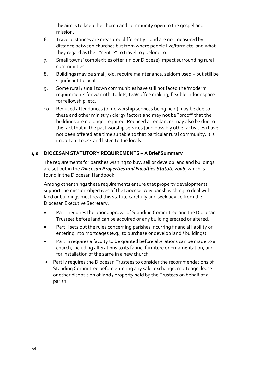the aim is to keep the church and community open to the gospel and mission.

- 6. Travel distances are measured differently and are not measured by distance between churches but from where people live/farm etc. and what they regard as their "centre" to travel to / belong to.
- 7. Small towns' complexities often (in our Diocese) impact surrounding rural communities.
- 8. Buildings may be small, old, require maintenance, seldom used but still be significant to locals.
- 9. Some rural / small town communities have still not faced the 'modern' requirements for warmth, toilets, tea/coffee making, flexible indoor space for fellowship, etc.
- 10. Reduced attendances (or no worship services being held) may be due to these and other ministry / clergy factors and may not be "proof" that the buildings are no longer required. Reduced attendances may also be due to the fact that in the past worship services (and possibly other activities) have not been offered at a time suitable to that particular rural community. It is important to ask and listen to the locals.

# **4.0 DIOCESAN STATUTORY REQUIREMENTS – A Brief Summary**

The requirements for parishes wishing to buy, sell or develop land and buildings are set out in the *Diocesan Properties and Faculties Statute 2006*, which is found in the Diocesan Handbook.

Among other things these requirements ensure that property developments support the mission objectives of the Diocese. Any parish wishing to deal with land or buildings must read this statute carefully and seek advice from the Diocesan Executive Secretary.

- Part i requires the prior approval of Standing Committee and the Diocesan Trustees before land can be acquired or any building erected or altered.
- Part ii sets out the rules concerning parishes incurring financial liability or entering into mortgages (e.g., to purchase or develop land / buildings).
- Part iii requires a faculty to be granted before alterations can be made to a church, including alterations to its fabric, furniture or ornamentation, and for installation of the same in a new church.
- Part iv requires the Diocesan Trustees to consider the recommendations of Standing Committee before entering any sale, exchange, mortgage, lease or other disposition of land / property held by the Trustees on behalf of a parish.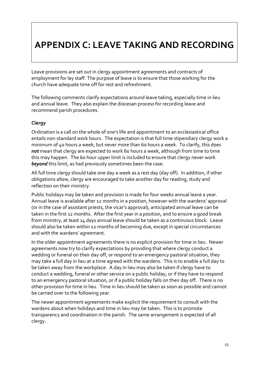# **APPENDIX C: LEAVE TAKING AND RECORDING**

Leave provisions are set out in clergy appointment agreements and contracts of employment for lay staff. The purpose of leave is to ensure that those working for the church have adequate time off for rest and refreshment.

The following comments clarify expectations around leave taking, especially time in lieu and annual leave. They also explain the diocesan process for recording leave and recommend parish procedures.

# **Clergy**

Ordination is a call on the whole of one's life and appointment to an ecclesiastical office entails non-standard work hours. The expectation is that full time stipendiary clergy work a minimum of 40 hours a week, but never more than 60 hours a week. To clarify, this does *not* mean that clergy are expected to work 60 hours a week, although from time to time this may happen. The 60 hour upper limit is included to ensure that clergy never work *beyond* this limit, as had previously sometimes been the case.

All full time clergy should take one day a week as a rest day (day off). In addition, if other obligations allow, clergy are encouraged to take another day for reading, study and reflection on their ministry.

Public holidays may be taken and provision is made for four weeks annual leave a year. Annual leave is available after 12 months in a position, however with the wardens' approval (or in the case of assistant priests, the vicar's approval), anticipated annual leave can be taken in the first 12 months. After the first year in a position, and to ensure a good break from ministry, at least 14 days annual leave should be taken as a continuous block. Leave should also be taken within 12 months of becoming due, except in special circumstances and with the wardens' agreement.

In the older appointment agreements there is no explicit provision for time in lieu. Newer agreements now try to clarify expectations by providing that where clergy conduct a wedding or funeral on their day off, or respond to an emergency pastoral situation, they may take a full day in lieu at a time agreed with the wardens. This is to enable a full day to be taken away from the workplace. A day in lieu may also be taken if clergy have to conduct a wedding, funeral or other service on a public holiday, or if they have to respond to an emergency pastoral situation, or if a public holiday falls on their day off. There is no other provision for time in lieu. Time in lieu should be taken as soon as possible and cannot be carried over to the following year.

The newer appointment agreements make explicit the requirement to consult with the wardens about when holidays and time in lieu may be taken. This is to promote transparency and coordination in the parish. The same arrangement is expected of all clergy.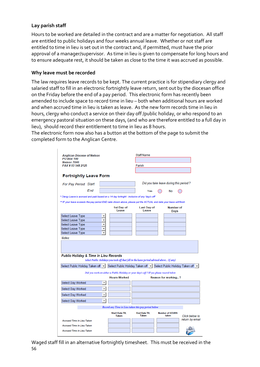# **Lay parish staff**

Hours to be worked are detailed in the contract and are a matter for negotiation. All staff are entitled to public holidays and four weeks annual leave. Whether or not staff are entitled to time in lieu is set out in the contract and, if permitted, must have the prior approval of a manager/supervisor. As time in lieu is given to compensate for long hours and to ensure adequate rest, it should be taken as close to the time it was accrued as possible.

#### **Why leave must be recorded**

The law requires leave records to be kept. The current practice is for stipendiary clergy and salaried staff to fill in an electronic fortnightly leave return, sent out by the diocesan office on the Friday before the end of a pay period. This electronic form has recently been amended to include space to record time in lieu – both when additional hours are worked and when accrued time in lieu is taken as leave. As the new form records time in lieu in hours, clergy who conduct a service on their day off /public holiday, or who respond to an emergency pastoral situation on these days, (and who are therefore entitled to a full day in lieu), should record their entitlement to time in lieu as 8 hours.

The electronic form now also has a button at the bottom of the page to submit the completed form to the Anglican Centre.

| <b>Anglican Diocese of Nelson</b><br><b>PO Box 100</b><br><b>Nelson 7040</b><br>FAX # 03 548 2125<br><b>Fortnightly Leave Form</b>                                                                                   |                                         |                                                                                                               | <b>Staff Name</b><br>Parish         |                                                                           |                 |  |  |  |
|----------------------------------------------------------------------------------------------------------------------------------------------------------------------------------------------------------------------|-----------------------------------------|---------------------------------------------------------------------------------------------------------------|-------------------------------------|---------------------------------------------------------------------------|-----------------|--|--|--|
|                                                                                                                                                                                                                      |                                         |                                                                                                               |                                     |                                                                           |                 |  |  |  |
| <b>For Pay Period Start</b>                                                                                                                                                                                          | Did you take leave during this period ? |                                                                                                               |                                     |                                                                           |                 |  |  |  |
| <b>Fnd</b>                                                                                                                                                                                                           |                                         |                                                                                                               | Yes                                 | No                                                                        |                 |  |  |  |
|                                                                                                                                                                                                                      |                                         |                                                                                                               |                                     |                                                                           |                 |  |  |  |
| * Clergy Leave is accrued and paid based on a 14 day fortnight - inclusive of any 'day/s off'<br>** IF your leave exceeds the pay period END date shown above, please put the ACTUAL end date your leave will finish |                                         |                                                                                                               |                                     |                                                                           |                 |  |  |  |
|                                                                                                                                                                                                                      |                                         | 1st Day of<br>Leave                                                                                           | <b>Last Day of</b><br>Leave         | <b>Number of</b><br>Days                                                  |                 |  |  |  |
| Select Leave Type                                                                                                                                                                                                    | ۰                                       |                                                                                                               |                                     |                                                                           |                 |  |  |  |
| <b>Select Leave Type</b>                                                                                                                                                                                             | $\overline{\phantom{a}}$                |                                                                                                               |                                     |                                                                           |                 |  |  |  |
| <b>Select Leave Type</b>                                                                                                                                                                                             | $\overline{\phantom{a}}$                |                                                                                                               |                                     |                                                                           |                 |  |  |  |
| <b>Select Leave Type</b>                                                                                                                                                                                             | ۰                                       |                                                                                                               |                                     |                                                                           |                 |  |  |  |
| <b>Select Leave Type</b>                                                                                                                                                                                             | ٠                                       |                                                                                                               |                                     |                                                                           |                 |  |  |  |
| Public Holiday & Time in Lieu Records                                                                                                                                                                                |                                         | Select Public Holidays you took off that fell in the leave period advised above (if any)                      |                                     |                                                                           |                 |  |  |  |
| Select Public Holiday Taken off ~                                                                                                                                                                                    |                                         |                                                                                                               |                                     | Select Public Holiday Taken off [12] Select Public Holiday Taken off [12] |                 |  |  |  |
|                                                                                                                                                                                                                      |                                         |                                                                                                               |                                     |                                                                           |                 |  |  |  |
|                                                                                                                                                                                                                      |                                         | Did you work on either a Public Holiday or your day/s off ? IF yes please record below<br><b>Hours Worked</b> |                                     | Reason for working?                                                       |                 |  |  |  |
| <b>Select Day Worked</b>                                                                                                                                                                                             | $\overline{\phantom{a}}$                |                                                                                                               |                                     |                                                                           |                 |  |  |  |
| Select Day Worked                                                                                                                                                                                                    | $\overline{\phantom{a}}$                |                                                                                                               |                                     |                                                                           |                 |  |  |  |
| Select Day Worked                                                                                                                                                                                                    | $\mathbf{r}$                            |                                                                                                               |                                     |                                                                           |                 |  |  |  |
| Select Day Worked                                                                                                                                                                                                    | ۰                                       |                                                                                                               |                                     |                                                                           |                 |  |  |  |
|                                                                                                                                                                                                                      |                                         | Record any Time in Lieu taken this pay period below                                                           |                                     |                                                                           |                 |  |  |  |
|                                                                                                                                                                                                                      |                                         | <b>Start Date TIL</b><br><b>Taken</b>                                                                         | <b>End Date TIL</b><br><b>Taken</b> | <b>Number of HOURS</b><br>taken                                           | Click below to  |  |  |  |
| <b>Accrued Time in Lieu Taken</b>                                                                                                                                                                                    |                                         |                                                                                                               |                                     |                                                                           | return by email |  |  |  |
| <b>Accrued Time in Lieu Taken</b>                                                                                                                                                                                    |                                         |                                                                                                               |                                     |                                                                           |                 |  |  |  |
| <b>Accrued Time in Lieu Taken</b>                                                                                                                                                                                    |                                         |                                                                                                               |                                     |                                                                           |                 |  |  |  |

56 Waged staff fill in an alternative fortnightly timesheet. This must be received in the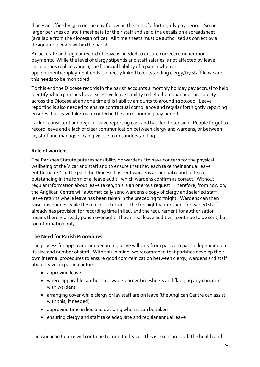diocesan office by 5pm on the day following the end of a fortnightly pay period. Some larger parishes collate timesheets for their staff and send the details on a spreadsheet (available from the diocesan office). All time sheets must be authorised as correct by a designated person within the parish.

An accurate and regular record of leave is needed to ensure correct remuneration payments. While the level of clergy stipends and staff salaries is not affected by leave calculations (unlike wages), the financial liability of a parish when an appointment/employment ends is directly linked to outstanding clergy/lay staff leave and this needs to be monitored.

To this end the Diocese records in the parish accounts a monthly holiday pay accrual to help identify which parishes have excessive leave liability to help them manage this liability across the Diocese at any one time this liability amounts to around \$200,000. Leave reporting is also needed to ensure contractual compliance and regular fortnightly reporting ensures that leave taken is recorded in the corresponding pay period.

Lack of consistent and regular leave reporting can, and has, led to tension. People forget to record leave and a lack of clear communication between clergy and wardens, or between lay staff and managers, can give rise to misunderstanding.

# **Role of wardens**

The Parishes Statute puts responsibility on wardens "to have concern for the physical wellbeing of the Vicar and staff and to ensure that they each take their annual leave entitlements". In the past the Diocese has sent wardens an annual report of leave outstanding in the form of a 'leave audit', which wardens confirm as correct. Without regular information about leave taken, this is an onerous request. Therefore, from now on, the Anglican Centre will automatically send wardens a copy of clergy and salaried staff leave returns where leave has been taken in the preceding fortnight. Wardens can then raise any queries while the matter is current. The fortnightly timesheet for waged staff already has provision for recording time in lieu, and the requirement for authorisation means there is already parish oversight. The annual leave audit will continue to be sent, but for information only.

# **The Need for Parish Procedures**

The process for approving and recording leave will vary from parish to parish depending on its size and number of staff. With this in mind, we recommend that parishes develop their own internal procedures to ensure good communication between clergy, wardens and staff about leave, in particular for:

- approving leave
- where applicable, authorising wage-earner timesheets and flagging any concerns with wardens
- arranging cover while clergy or lay staff are on leave (the Anglican Centre can assist with this, if needed)
- approving time in lieu and deciding when it can be taken
- ensuring clergy and staff take adequate and regular annual leave

The Anglican Centre will continue to monitor leave. This is to ensure both the health and